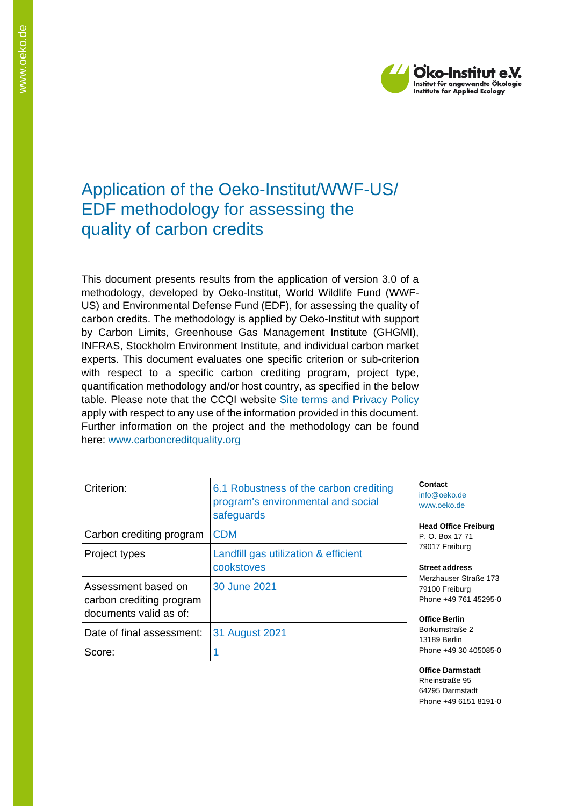

# Application of the Oeko-Institut/WWF-US/ EDF methodology for assessing the quality of carbon credits

This document presents results from the application of version 3.0 of a methodology, developed by Oeko-Institut, World Wildlife Fund (WWF-US) and Environmental Defense Fund (EDF), for assessing the quality of carbon credits. The methodology is applied by Oeko-Institut with support by Carbon Limits, Greenhouse Gas Management Institute (GHGMI), INFRAS, Stockholm Environment Institute, and individual carbon market experts. This document evaluates one specific criterion or sub-criterion with respect to a specific carbon crediting program, project type, quantification methodology and/or host country, as specified in the below table. Please note that the CCQI website [Site terms and Privacy Policy](https://carboncreditquality.org/terms.html) apply with respect to any use of the information provided in this document. Further information on the project and the methodology can be found here: [www.carboncreditquality.org](http://www.carboncreditquality.org/)

| Criterion:                                                                | 6.1 Robustness of the carbon crediting<br>program's environmental and social<br>safeguards |
|---------------------------------------------------------------------------|--------------------------------------------------------------------------------------------|
| Carbon crediting program                                                  | <b>CDM</b>                                                                                 |
| Project types                                                             | Landfill gas utilization & efficient<br>cookstoves                                         |
| Assessment based on<br>carbon crediting program<br>documents valid as of: | 30 June 2021                                                                               |
| Date of final assessment:                                                 | 31 August 2021                                                                             |
| Score:                                                                    |                                                                                            |

**Contact** [info@oeko.de](mailto:info@oeko.de) [www.oeko.de](http://www.oeko.de/)

**Head Office Freiburg** P. O. Box 17 71 79017 Freiburg

**Street address** Merzhauser Straße 173 79100 Freiburg Phone +49 761 45295-0

**Office Berlin** Borkumstraße 2 13189 Berlin Phone +49 30 405085-0

**Office Darmstadt** Rheinstraße 95 64295 Darmstadt Phone +49 6151 8191-0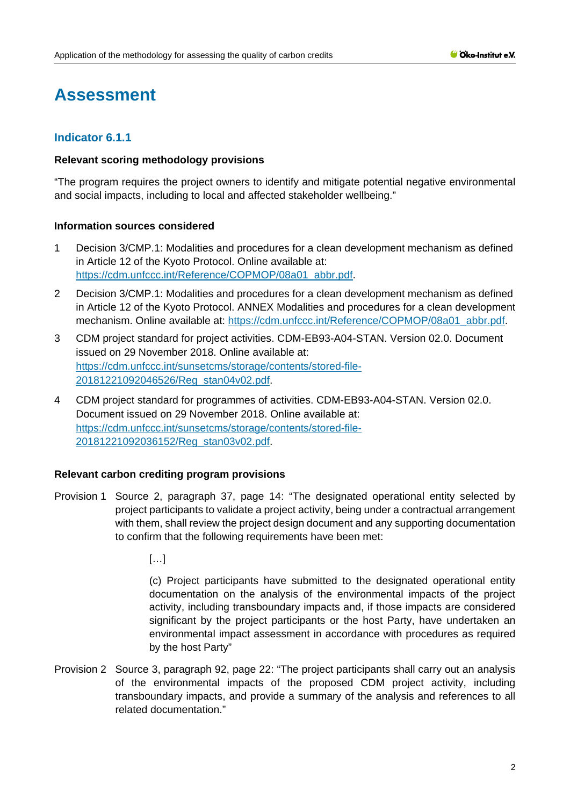# **Assessment**

# **Indicator 6.1.1**

### **Relevant scoring methodology provisions**

"The program requires the project owners to identify and mitigate potential negative environmental and social impacts, including to local and affected stakeholder wellbeing."

# **Information sources considered**

- 1 Decision 3/CMP.1: Modalities and procedures for a clean development mechanism as defined in Article 12 of the Kyoto Protocol. Online available at: [https://cdm.unfccc.int/Reference/COPMOP/08a01\\_abbr.pdf.](https://cdm.unfccc.int/Reference/COPMOP/08a01_abbr.pdf)
- 2 Decision 3/CMP.1: Modalities and procedures for a clean development mechanism as defined in Article 12 of the Kyoto Protocol. ANNEX Modalities and procedures for a clean development mechanism. Online available at: [https://cdm.unfccc.int/Reference/COPMOP/08a01\\_abbr.pdf.](https://cdm.unfccc.int/Reference/COPMOP/08a01_abbr.pdf)
- 3 CDM project standard for project activities. CDM-EB93-A04-STAN. Version 02.0. Document issued on 29 November 2018. Online available at: [https://cdm.unfccc.int/sunsetcms/storage/contents/stored-file-](https://cdm.unfccc.int/sunsetcms/storage/contents/stored-file-20181221092046526/Reg_stan04v02.pdf)[20181221092046526/Reg\\_stan04v02.pdf.](https://cdm.unfccc.int/sunsetcms/storage/contents/stored-file-20181221092046526/Reg_stan04v02.pdf)
- 4 CDM project standard for programmes of activities. CDM-EB93-A04-STAN. Version 02.0. Document issued on 29 November 2018. Online available at: [https://cdm.unfccc.int/sunsetcms/storage/contents/stored-file-](https://cdm.unfccc.int/sunsetcms/storage/contents/stored-file-20181221092036152/Reg_stan03v02.pdf)[20181221092036152/Reg\\_stan03v02.pdf.](https://cdm.unfccc.int/sunsetcms/storage/contents/stored-file-20181221092036152/Reg_stan03v02.pdf)

# **Relevant carbon crediting program provisions**

Provision 1 Source 2, paragraph 37, page 14: "The designated operational entity selected by project participants to validate a project activity, being under a contractual arrangement with them, shall review the project design document and any supporting documentation to confirm that the following requirements have been met:

[…]

(c) Project participants have submitted to the designated operational entity documentation on the analysis of the environmental impacts of the project activity, including transboundary impacts and, if those impacts are considered significant by the project participants or the host Party, have undertaken an environmental impact assessment in accordance with procedures as required by the host Party"

Provision 2 Source 3, paragraph 92, page 22: "The project participants shall carry out an analysis of the environmental impacts of the proposed CDM project activity, including transboundary impacts, and provide a summary of the analysis and references to all related documentation."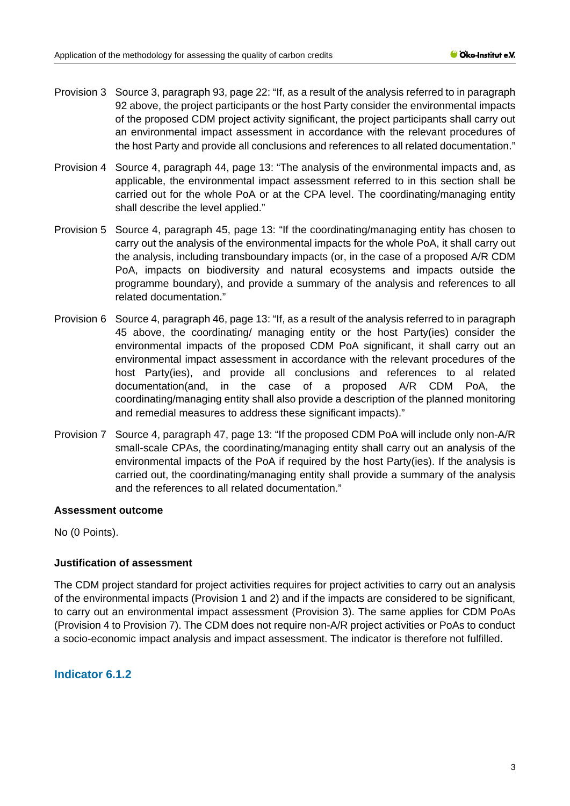- Provision 3 Source 3, paragraph 93, page 22: "If, as a result of the analysis referred to in paragraph 92 above, the project participants or the host Party consider the environmental impacts of the proposed CDM project activity significant, the project participants shall carry out an environmental impact assessment in accordance with the relevant procedures of the host Party and provide all conclusions and references to all related documentation."
- Provision 4 Source 4, paragraph 44, page 13: "The analysis of the environmental impacts and, as applicable, the environmental impact assessment referred to in this section shall be carried out for the whole PoA or at the CPA level. The coordinating/managing entity shall describe the level applied."
- Provision 5 Source 4, paragraph 45, page 13: "If the coordinating/managing entity has chosen to carry out the analysis of the environmental impacts for the whole PoA, it shall carry out the analysis, including transboundary impacts (or, in the case of a proposed A/R CDM PoA, impacts on biodiversity and natural ecosystems and impacts outside the programme boundary), and provide a summary of the analysis and references to all related documentation."
- Provision 6 Source 4, paragraph 46, page 13: "If, as a result of the analysis referred to in paragraph 45 above, the coordinating/ managing entity or the host Party(ies) consider the environmental impacts of the proposed CDM PoA significant, it shall carry out an environmental impact assessment in accordance with the relevant procedures of the host Party(ies), and provide all conclusions and references to al related documentation(and, in the case of a proposed A/R CDM PoA, the coordinating/managing entity shall also provide a description of the planned monitoring and remedial measures to address these significant impacts)."
- Provision 7 Source 4, paragraph 47, page 13: "If the proposed CDM PoA will include only non-A/R small-scale CPAs, the coordinating/managing entity shall carry out an analysis of the environmental impacts of the PoA if required by the host Party(ies). If the analysis is carried out, the coordinating/managing entity shall provide a summary of the analysis and the references to all related documentation."

# **Assessment outcome**

No (0 Points).

# **Justification of assessment**

The CDM project standard for project activities requires for project activities to carry out an analysis of the environmental impacts (Provision 1 and 2) and if the impacts are considered to be significant, to carry out an environmental impact assessment (Provision 3). The same applies for CDM PoAs (Provision 4 to Provision 7). The CDM does not require non-A/R project activities or PoAs to conduct a socio-economic impact analysis and impact assessment. The indicator is therefore not fulfilled.

# **Indicator 6.1.2**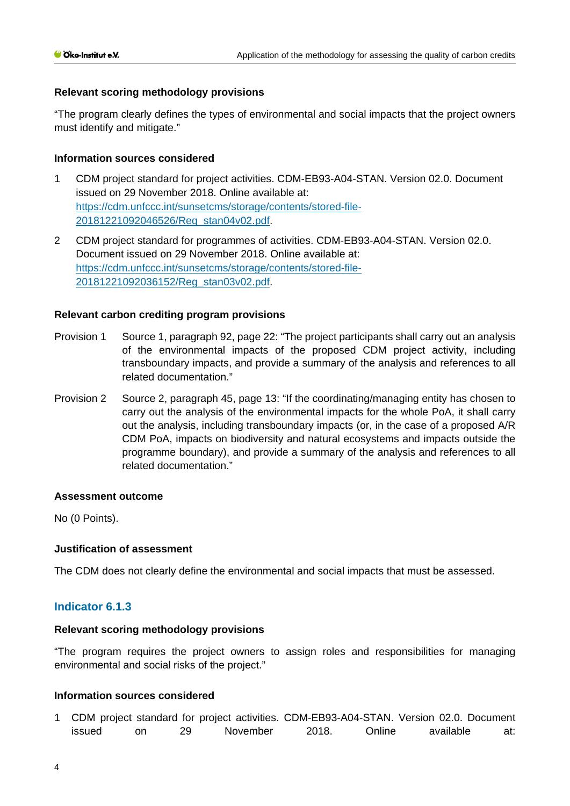# **Relevant scoring methodology provisions**

"The program clearly defines the types of environmental and social impacts that the project owners must identify and mitigate."

# **Information sources considered**

- 1 CDM project standard for project activities. CDM-EB93-A04-STAN. Version 02.0. Document issued on 29 November 2018. Online available at: [https://cdm.unfccc.int/sunsetcms/storage/contents/stored-file-](https://cdm.unfccc.int/sunsetcms/storage/contents/stored-file-20181221092046526/Reg_stan04v02.pdf)[20181221092046526/Reg\\_stan04v02.pdf.](https://cdm.unfccc.int/sunsetcms/storage/contents/stored-file-20181221092046526/Reg_stan04v02.pdf)
- 2 CDM project standard for programmes of activities. CDM-EB93-A04-STAN. Version 02.0. Document issued on 29 November 2018. Online available at: [https://cdm.unfccc.int/sunsetcms/storage/contents/stored-file-](https://cdm.unfccc.int/sunsetcms/storage/contents/stored-file-20181221092036152/Reg_stan03v02.pdf)[20181221092036152/Reg\\_stan03v02.pdf.](https://cdm.unfccc.int/sunsetcms/storage/contents/stored-file-20181221092036152/Reg_stan03v02.pdf)

### **Relevant carbon crediting program provisions**

- Provision 1 Source 1, paragraph 92, page 22: "The project participants shall carry out an analysis of the environmental impacts of the proposed CDM project activity, including transboundary impacts, and provide a summary of the analysis and references to all related documentation."
- Provision 2 Source 2, paragraph 45, page 13: "If the coordinating/managing entity has chosen to carry out the analysis of the environmental impacts for the whole PoA, it shall carry out the analysis, including transboundary impacts (or, in the case of a proposed A/R CDM PoA, impacts on biodiversity and natural ecosystems and impacts outside the programme boundary), and provide a summary of the analysis and references to all related documentation."

### **Assessment outcome**

No (0 Points).

# **Justification of assessment**

The CDM does not clearly define the environmental and social impacts that must be assessed.

# **Indicator 6.1.3**

### **Relevant scoring methodology provisions**

"The program requires the project owners to assign roles and responsibilities for managing environmental and social risks of the project."

### **Information sources considered**

1 CDM project standard for project activities. CDM-EB93-A04-STAN. Version 02.0. Document issued on 29 November 2018. Online available at: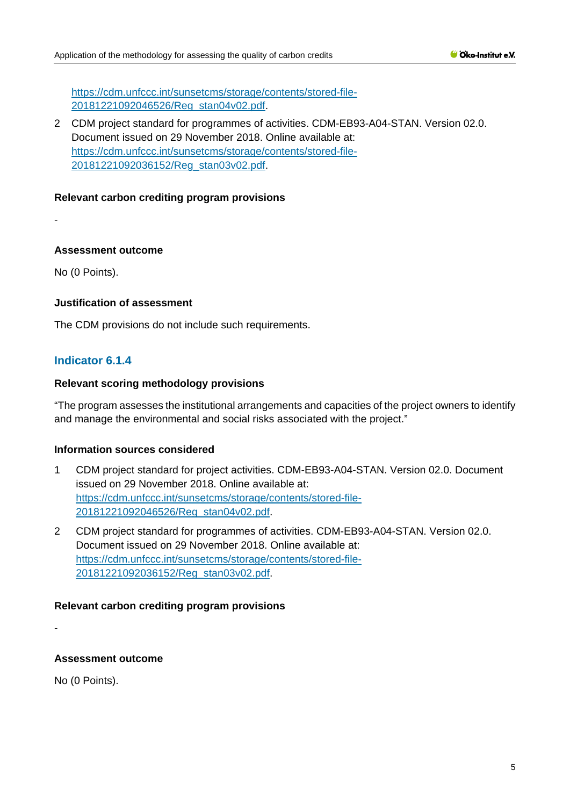[https://cdm.unfccc.int/sunsetcms/storage/contents/stored-file-](https://cdm.unfccc.int/sunsetcms/storage/contents/stored-file-20181221092046526/Reg_stan04v02.pdf)[20181221092046526/Reg\\_stan04v02.pdf.](https://cdm.unfccc.int/sunsetcms/storage/contents/stored-file-20181221092046526/Reg_stan04v02.pdf)

2 CDM project standard for programmes of activities. CDM-EB93-A04-STAN. Version 02.0. Document issued on 29 November 2018. Online available at: [https://cdm.unfccc.int/sunsetcms/storage/contents/stored-file-](https://cdm.unfccc.int/sunsetcms/storage/contents/stored-file-20181221092036152/Reg_stan03v02.pdf)[20181221092036152/Reg\\_stan03v02.pdf.](https://cdm.unfccc.int/sunsetcms/storage/contents/stored-file-20181221092036152/Reg_stan03v02.pdf)

# **Relevant carbon crediting program provisions**

-

# **Assessment outcome**

No (0 Points).

# **Justification of assessment**

The CDM provisions do not include such requirements.

# **Indicator 6.1.4**

# **Relevant scoring methodology provisions**

"The program assesses the institutional arrangements and capacities of the project owners to identify and manage the environmental and social risks associated with the project."

# **Information sources considered**

- 1 CDM project standard for project activities. CDM-EB93-A04-STAN. Version 02.0. Document issued on 29 November 2018. Online available at: [https://cdm.unfccc.int/sunsetcms/storage/contents/stored-file-](https://cdm.unfccc.int/sunsetcms/storage/contents/stored-file-20181221092046526/Reg_stan04v02.pdf)[20181221092046526/Reg\\_stan04v02.pdf.](https://cdm.unfccc.int/sunsetcms/storage/contents/stored-file-20181221092046526/Reg_stan04v02.pdf)
- 2 CDM project standard for programmes of activities. CDM-EB93-A04-STAN. Version 02.0. Document issued on 29 November 2018. Online available at: [https://cdm.unfccc.int/sunsetcms/storage/contents/stored-file-](https://cdm.unfccc.int/sunsetcms/storage/contents/stored-file-20181221092036152/Reg_stan03v02.pdf)[20181221092036152/Reg\\_stan03v02.pdf.](https://cdm.unfccc.int/sunsetcms/storage/contents/stored-file-20181221092036152/Reg_stan03v02.pdf)

# **Relevant carbon crediting program provisions**

**Assessment outcome**

No (0 Points).

-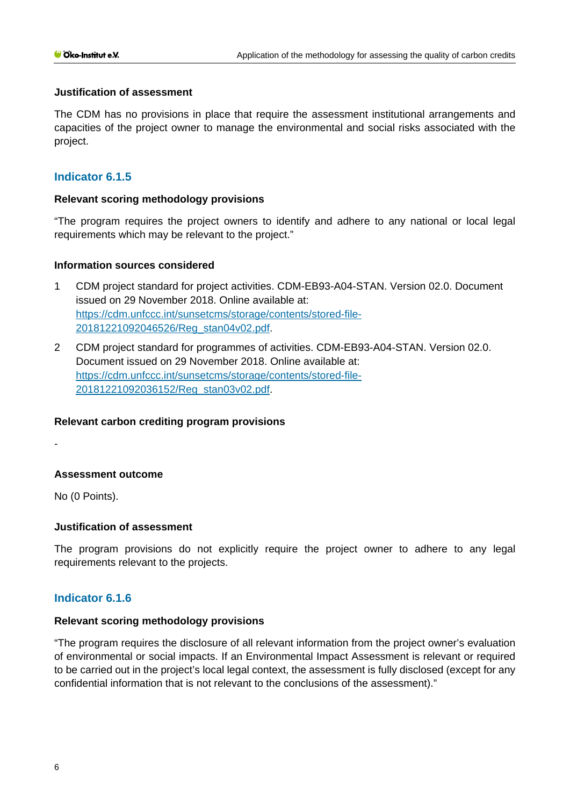### **Justification of assessment**

The CDM has no provisions in place that require the assessment institutional arrangements and capacities of the project owner to manage the environmental and social risks associated with the project.

# **Indicator 6.1.5**

### **Relevant scoring methodology provisions**

"The program requires the project owners to identify and adhere to any national or local legal requirements which may be relevant to the project."

### **Information sources considered**

- 1 CDM project standard for project activities. CDM-EB93-A04-STAN. Version 02.0. Document issued on 29 November 2018. Online available at: [https://cdm.unfccc.int/sunsetcms/storage/contents/stored-file-](https://cdm.unfccc.int/sunsetcms/storage/contents/stored-file-20181221092046526/Reg_stan04v02.pdf)[20181221092046526/Reg\\_stan04v02.pdf.](https://cdm.unfccc.int/sunsetcms/storage/contents/stored-file-20181221092046526/Reg_stan04v02.pdf)
- 2 CDM project standard for programmes of activities. CDM-EB93-A04-STAN. Version 02.0. Document issued on 29 November 2018. Online available at: [https://cdm.unfccc.int/sunsetcms/storage/contents/stored-file-](https://cdm.unfccc.int/sunsetcms/storage/contents/stored-file-20181221092036152/Reg_stan03v02.pdf)[20181221092036152/Reg\\_stan03v02.pdf.](https://cdm.unfccc.int/sunsetcms/storage/contents/stored-file-20181221092036152/Reg_stan03v02.pdf)

### **Relevant carbon crediting program provisions**

-

# **Assessment outcome**

No (0 Points).

### **Justification of assessment**

The program provisions do not explicitly require the project owner to adhere to any legal requirements relevant to the projects.

# **Indicator 6.1.6**

### **Relevant scoring methodology provisions**

"The program requires the disclosure of all relevant information from the project owner's evaluation of environmental or social impacts. If an Environmental Impact Assessment is relevant or required to be carried out in the project's local legal context, the assessment is fully disclosed (except for any confidential information that is not relevant to the conclusions of the assessment)."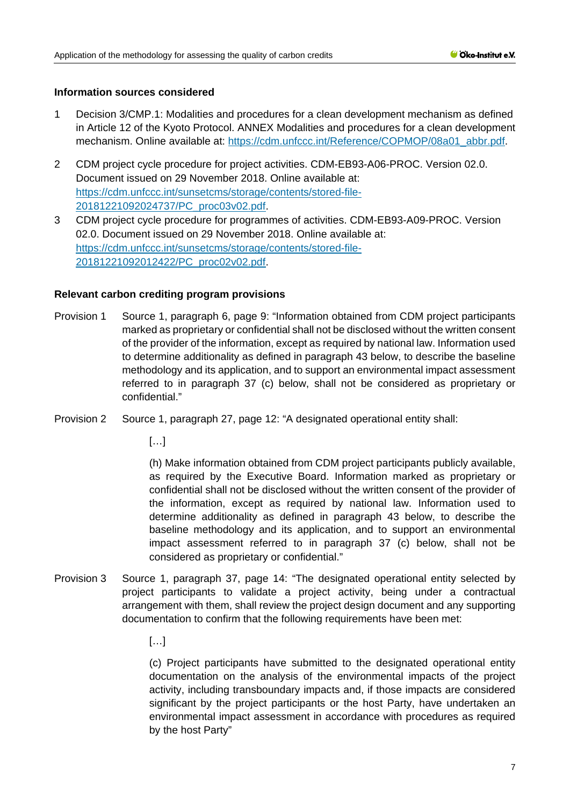- 1 Decision 3/CMP.1: Modalities and procedures for a clean development mechanism as defined in Article 12 of the Kyoto Protocol. ANNEX Modalities and procedures for a clean development mechanism. Online available at: [https://cdm.unfccc.int/Reference/COPMOP/08a01\\_abbr.pdf.](https://cdm.unfccc.int/Reference/COPMOP/08a01_abbr.pdf)
- 2 CDM project cycle procedure for project activities. CDM-EB93-A06-PROC. Version 02.0. Document issued on 29 November 2018. Online available at: [https://cdm.unfccc.int/sunsetcms/storage/contents/stored-file-](https://cdm.unfccc.int/sunsetcms/storage/contents/stored-file-20181221092024737/PC_proc03v02.pdf)[20181221092024737/PC\\_proc03v02.pdf.](https://cdm.unfccc.int/sunsetcms/storage/contents/stored-file-20181221092024737/PC_proc03v02.pdf)
- 3 CDM project cycle procedure for programmes of activities. CDM-EB93-A09-PROC. Version 02.0. Document issued on 29 November 2018. Online available at: [https://cdm.unfccc.int/sunsetcms/storage/contents/stored-file-](https://cdm.unfccc.int/sunsetcms/storage/contents/stored-file-20181221092012422/PC_proc02v02.pdf)[20181221092012422/PC\\_proc02v02.pdf.](https://cdm.unfccc.int/sunsetcms/storage/contents/stored-file-20181221092012422/PC_proc02v02.pdf)

### **Relevant carbon crediting program provisions**

- Provision 1 Source 1, paragraph 6, page 9: "Information obtained from CDM project participants marked as proprietary or confidential shall not be disclosed without the written consent of the provider of the information, except as required by national law. Information used to determine additionality as defined in paragraph 43 below, to describe the baseline methodology and its application, and to support an environmental impact assessment referred to in paragraph 37 (c) below, shall not be considered as proprietary or confidential."
- Provision 2 Source 1, paragraph 27, page 12: "A designated operational entity shall:

[…]

(h) Make information obtained from CDM project participants publicly available, as required by the Executive Board. Information marked as proprietary or confidential shall not be disclosed without the written consent of the provider of the information, except as required by national law. Information used to determine additionality as defined in paragraph 43 below, to describe the baseline methodology and its application, and to support an environmental impact assessment referred to in paragraph 37 (c) below, shall not be considered as proprietary or confidential."

- Provision 3 Source 1, paragraph 37, page 14: "The designated operational entity selected by project participants to validate a project activity, being under a contractual arrangement with them, shall review the project design document and any supporting documentation to confirm that the following requirements have been met:
	- $[\ldots]$

(c) Project participants have submitted to the designated operational entity documentation on the analysis of the environmental impacts of the project activity, including transboundary impacts and, if those impacts are considered significant by the project participants or the host Party, have undertaken an environmental impact assessment in accordance with procedures as required by the host Party"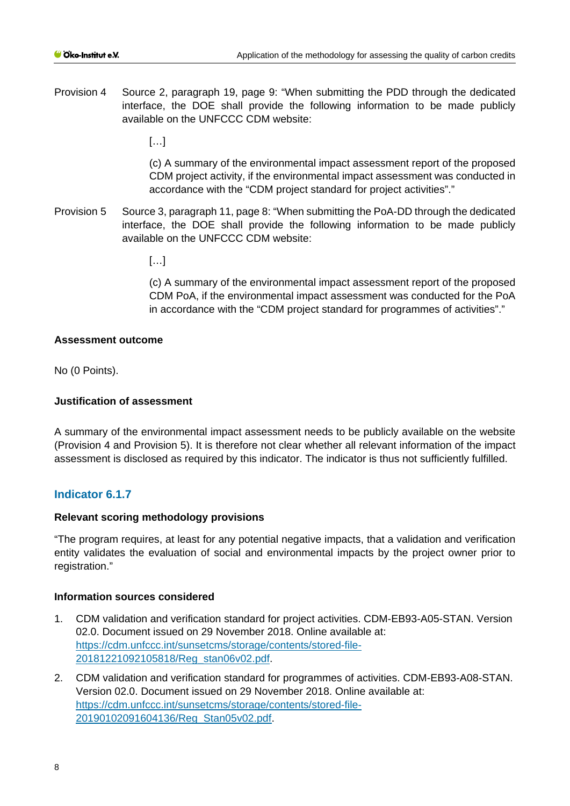Provision 4 Source 2, paragraph 19, page 9: "When submitting the PDD through the dedicated interface, the DOE shall provide the following information to be made publicly available on the UNFCCC CDM website:

 $[...]$ 

(c) A summary of the environmental impact assessment report of the proposed CDM project activity, if the environmental impact assessment was conducted in accordance with the "CDM project standard for project activities"."

Provision 5 Source 3, paragraph 11, page 8: "When submitting the PoA-DD through the dedicated interface, the DOE shall provide the following information to be made publicly available on the UNFCCC CDM website:

 $[...]$ 

(c) A summary of the environmental impact assessment report of the proposed CDM PoA, if the environmental impact assessment was conducted for the PoA in accordance with the "CDM project standard for programmes of activities"."

### **Assessment outcome**

No (0 Points).

### **Justification of assessment**

A summary of the environmental impact assessment needs to be publicly available on the website (Provision 4 and Provision 5). It is therefore not clear whether all relevant information of the impact assessment is disclosed as required by this indicator. The indicator is thus not sufficiently fulfilled.

# **Indicator 6.1.7**

### **Relevant scoring methodology provisions**

"The program requires, at least for any potential negative impacts, that a validation and verification entity validates the evaluation of social and environmental impacts by the project owner prior to registration."

### **Information sources considered**

- 1. CDM validation and verification standard for project activities. CDM-EB93-A05-STAN. Version 02.0. Document issued on 29 November 2018. Online available at: [https://cdm.unfccc.int/sunsetcms/storage/contents/stored-file-](https://cdm.unfccc.int/sunsetcms/storage/contents/stored-file-20181221092105818/Reg_stan06v02.pdf)[20181221092105818/Reg\\_stan06v02.pdf.](https://cdm.unfccc.int/sunsetcms/storage/contents/stored-file-20181221092105818/Reg_stan06v02.pdf)
- 2. CDM validation and verification standard for programmes of activities. CDM-EB93-A08-STAN. Version 02.0. Document issued on 29 November 2018. Online available at: [https://cdm.unfccc.int/sunsetcms/storage/contents/stored-file-](https://cdm.unfccc.int/sunsetcms/storage/contents/stored-file-20190102091604136/Reg_Stan05v02.pdf)[20190102091604136/Reg\\_Stan05v02.pdf.](https://cdm.unfccc.int/sunsetcms/storage/contents/stored-file-20190102091604136/Reg_Stan05v02.pdf)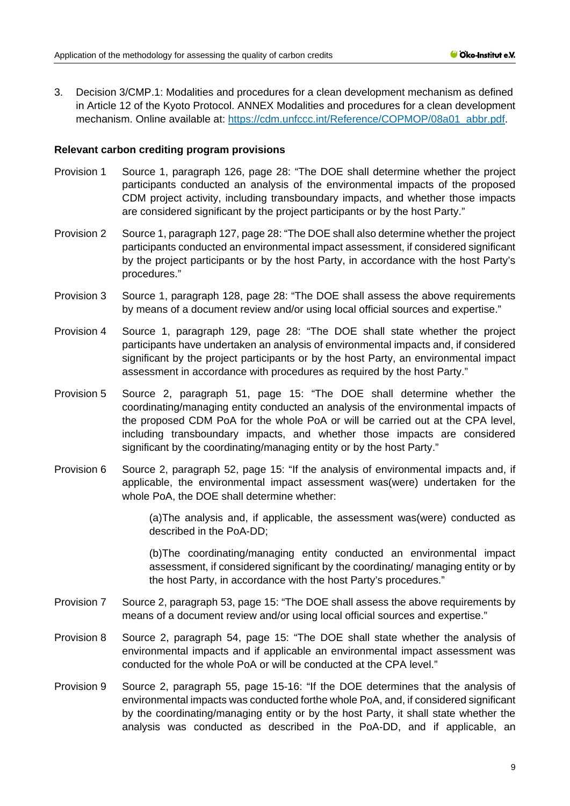3. Decision 3/CMP.1: Modalities and procedures for a clean development mechanism as defined in Article 12 of the Kyoto Protocol. ANNEX Modalities and procedures for a clean development mechanism. Online available at: [https://cdm.unfccc.int/Reference/COPMOP/08a01\\_abbr.pdf.](https://cdm.unfccc.int/Reference/COPMOP/08a01_abbr.pdf)

### **Relevant carbon crediting program provisions**

- Provision 1 Source 1, paragraph 126, page 28: "The DOE shall determine whether the project participants conducted an analysis of the environmental impacts of the proposed CDM project activity, including transboundary impacts, and whether those impacts are considered significant by the project participants or by the host Party."
- Provision 2 Source 1, paragraph 127, page 28: "The DOE shall also determine whether the project participants conducted an environmental impact assessment, if considered significant by the project participants or by the host Party, in accordance with the host Party's procedures."
- Provision 3 Source 1, paragraph 128, page 28: "The DOE shall assess the above requirements by means of a document review and/or using local official sources and expertise."
- Provision 4 Source 1, paragraph 129, page 28: "The DOE shall state whether the project participants have undertaken an analysis of environmental impacts and, if considered significant by the project participants or by the host Party, an environmental impact assessment in accordance with procedures as required by the host Party."
- Provision 5 Source 2, paragraph 51, page 15: "The DOE shall determine whether the coordinating/managing entity conducted an analysis of the environmental impacts of the proposed CDM PoA for the whole PoA or will be carried out at the CPA level, including transboundary impacts, and whether those impacts are considered significant by the coordinating/managing entity or by the host Party."
- Provision 6 Source 2, paragraph 52, page 15: "If the analysis of environmental impacts and, if applicable, the environmental impact assessment was(were) undertaken for the whole PoA, the DOE shall determine whether:

(a)The analysis and, if applicable, the assessment was(were) conducted as described in the PoA-DD;

(b)The coordinating/managing entity conducted an environmental impact assessment, if considered significant by the coordinating/ managing entity or by the host Party, in accordance with the host Party's procedures."

- Provision 7 Source 2, paragraph 53, page 15: "The DOE shall assess the above requirements by means of a document review and/or using local official sources and expertise."
- Provision 8 Source 2, paragraph 54, page 15: "The DOE shall state whether the analysis of environmental impacts and if applicable an environmental impact assessment was conducted for the whole PoA or will be conducted at the CPA level."
- Provision 9 Source 2, paragraph 55, page 15-16: "If the DOE determines that the analysis of environmental impacts was conducted forthe whole PoA, and, if considered significant by the coordinating/managing entity or by the host Party, it shall state whether the analysis was conducted as described in the PoA-DD, and if applicable, an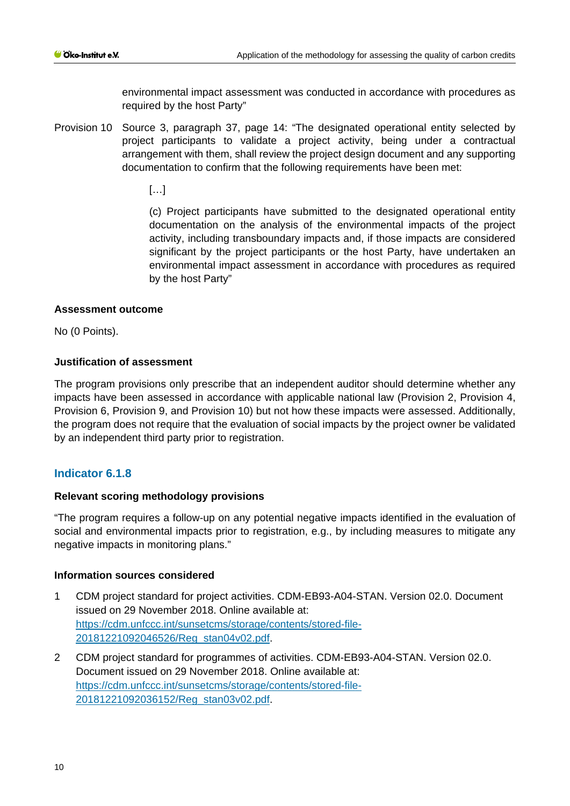environmental impact assessment was conducted in accordance with procedures as required by the host Party"

Provision 10 Source 3, paragraph 37, page 14: "The designated operational entity selected by project participants to validate a project activity, being under a contractual arrangement with them, shall review the project design document and any supporting documentation to confirm that the following requirements have been met:

 $\lbrack$ ...

(c) Project participants have submitted to the designated operational entity documentation on the analysis of the environmental impacts of the project activity, including transboundary impacts and, if those impacts are considered significant by the project participants or the host Party, have undertaken an environmental impact assessment in accordance with procedures as required by the host Party"

### **Assessment outcome**

No (0 Points).

# **Justification of assessment**

The program provisions only prescribe that an independent auditor should determine whether any impacts have been assessed in accordance with applicable national law (Provision 2, Provision 4, Provision 6, Provision 9, and Provision 10) but not how these impacts were assessed. Additionally, the program does not require that the evaluation of social impacts by the project owner be validated by an independent third party prior to registration.

# **Indicator 6.1.8**

# **Relevant scoring methodology provisions**

"The program requires a follow-up on any potential negative impacts identified in the evaluation of social and environmental impacts prior to registration, e.g., by including measures to mitigate any negative impacts in monitoring plans."

### **Information sources considered**

- 1 CDM project standard for project activities. CDM-EB93-A04-STAN. Version 02.0. Document issued on 29 November 2018. Online available at: [https://cdm.unfccc.int/sunsetcms/storage/contents/stored-file-](https://cdm.unfccc.int/sunsetcms/storage/contents/stored-file-20181221092046526/Reg_stan04v02.pdf)[20181221092046526/Reg\\_stan04v02.pdf.](https://cdm.unfccc.int/sunsetcms/storage/contents/stored-file-20181221092046526/Reg_stan04v02.pdf)
- 2 CDM project standard for programmes of activities. CDM-EB93-A04-STAN. Version 02.0. Document issued on 29 November 2018. Online available at: [https://cdm.unfccc.int/sunsetcms/storage/contents/stored-file-](https://cdm.unfccc.int/sunsetcms/storage/contents/stored-file-20181221092036152/Reg_stan03v02.pdf)[20181221092036152/Reg\\_stan03v02.pdf.](https://cdm.unfccc.int/sunsetcms/storage/contents/stored-file-20181221092036152/Reg_stan03v02.pdf)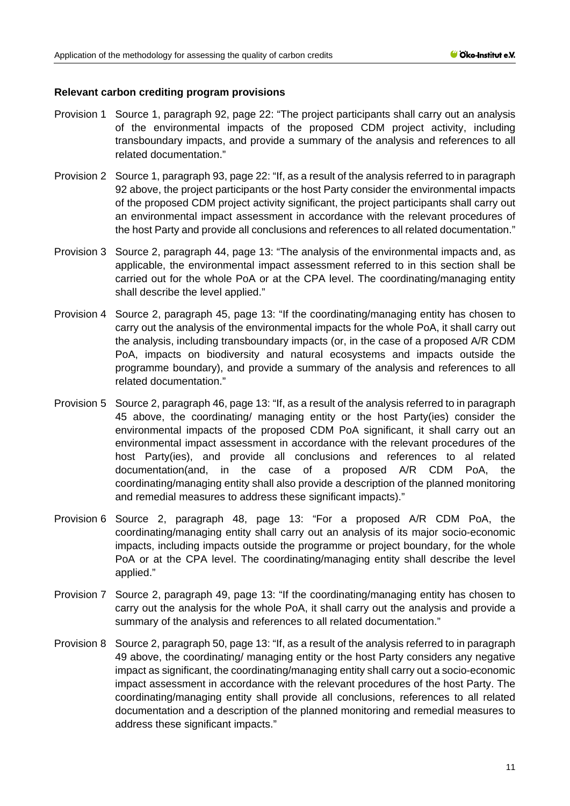### **Relevant carbon crediting program provisions**

- Provision 1 Source 1, paragraph 92, page 22: "The project participants shall carry out an analysis of the environmental impacts of the proposed CDM project activity, including transboundary impacts, and provide a summary of the analysis and references to all related documentation."
- Provision 2 Source 1, paragraph 93, page 22: "If, as a result of the analysis referred to in paragraph 92 above, the project participants or the host Party consider the environmental impacts of the proposed CDM project activity significant, the project participants shall carry out an environmental impact assessment in accordance with the relevant procedures of the host Party and provide all conclusions and references to all related documentation."
- Provision 3 Source 2, paragraph 44, page 13: "The analysis of the environmental impacts and, as applicable, the environmental impact assessment referred to in this section shall be carried out for the whole PoA or at the CPA level. The coordinating/managing entity shall describe the level applied."
- Provision 4 Source 2, paragraph 45, page 13: "If the coordinating/managing entity has chosen to carry out the analysis of the environmental impacts for the whole PoA, it shall carry out the analysis, including transboundary impacts (or, in the case of a proposed A/R CDM PoA, impacts on biodiversity and natural ecosystems and impacts outside the programme boundary), and provide a summary of the analysis and references to all related documentation."
- Provision 5 Source 2, paragraph 46, page 13: "If, as a result of the analysis referred to in paragraph 45 above, the coordinating/ managing entity or the host Party(ies) consider the environmental impacts of the proposed CDM PoA significant, it shall carry out an environmental impact assessment in accordance with the relevant procedures of the host Party(ies), and provide all conclusions and references to al related documentation(and, in the case of a proposed A/R CDM PoA, the coordinating/managing entity shall also provide a description of the planned monitoring and remedial measures to address these significant impacts)."
- Provision 6 Source 2, paragraph 48, page 13: "For a proposed A/R CDM PoA, the coordinating/managing entity shall carry out an analysis of its major socio-economic impacts, including impacts outside the programme or project boundary, for the whole PoA or at the CPA level. The coordinating/managing entity shall describe the level applied."
- Provision 7 Source 2, paragraph 49, page 13: "If the coordinating/managing entity has chosen to carry out the analysis for the whole PoA, it shall carry out the analysis and provide a summary of the analysis and references to all related documentation."
- Provision 8 Source 2, paragraph 50, page 13: "If, as a result of the analysis referred to in paragraph 49 above, the coordinating/ managing entity or the host Party considers any negative impact as significant, the coordinating/managing entity shall carry out a socio-economic impact assessment in accordance with the relevant procedures of the host Party. The coordinating/managing entity shall provide all conclusions, references to all related documentation and a description of the planned monitoring and remedial measures to address these significant impacts."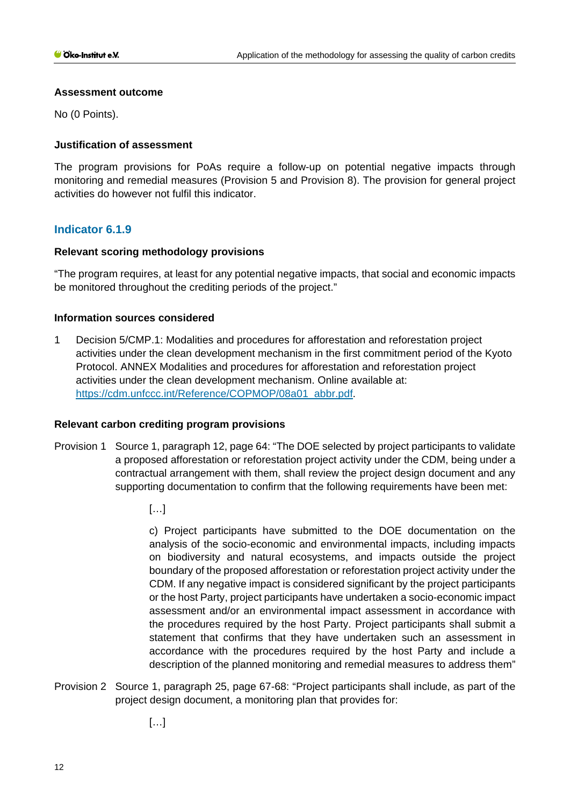### **Assessment outcome**

No (0 Points).

# **Justification of assessment**

The program provisions for PoAs require a follow-up on potential negative impacts through monitoring and remedial measures (Provision 5 and Provision 8). The provision for general project activities do however not fulfil this indicator.

# **Indicator 6.1.9**

# **Relevant scoring methodology provisions**

"The program requires, at least for any potential negative impacts, that social and economic impacts be monitored throughout the crediting periods of the project."

# **Information sources considered**

1 Decision 5/CMP.1: Modalities and procedures for afforestation and reforestation project activities under the clean development mechanism in the first commitment period of the Kyoto Protocol. ANNEX Modalities and procedures for afforestation and reforestation project activities under the clean development mechanism. Online available at: [https://cdm.unfccc.int/Reference/COPMOP/08a01\\_abbr.pdf.](https://cdm.unfccc.int/Reference/COPMOP/08a01_abbr.pdf)

# **Relevant carbon crediting program provisions**

- Provision 1 Source 1, paragraph 12, page 64: "The DOE selected by project participants to validate a proposed afforestation or reforestation project activity under the CDM, being under a contractual arrangement with them, shall review the project design document and any supporting documentation to confirm that the following requirements have been met:
	- […]

c) Project participants have submitted to the DOE documentation on the analysis of the socio-economic and environmental impacts, including impacts on biodiversity and natural ecosystems, and impacts outside the project boundary of the proposed afforestation or reforestation project activity under the CDM. If any negative impact is considered significant by the project participants or the host Party, project participants have undertaken a socio-economic impact assessment and/or an environmental impact assessment in accordance with the procedures required by the host Party. Project participants shall submit a statement that confirms that they have undertaken such an assessment in accordance with the procedures required by the host Party and include a description of the planned monitoring and remedial measures to address them"

Provision 2 Source 1, paragraph 25, page 67-68: "Project participants shall include, as part of the project design document, a monitoring plan that provides for:

[…]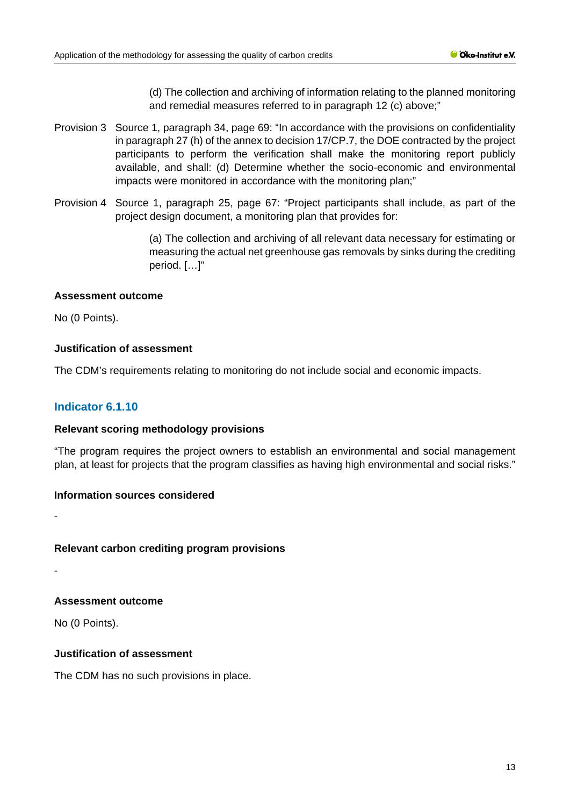(d) The collection and archiving of information relating to the planned monitoring and remedial measures referred to in paragraph 12 (c) above;"

- Provision 3 Source 1, paragraph 34, page 69: "In accordance with the provisions on confidentiality in paragraph 27 (h) of the annex to decision 17/CP.7, the DOE contracted by the project participants to perform the verification shall make the monitoring report publicly available, and shall: (d) Determine whether the socio-economic and environmental impacts were monitored in accordance with the monitoring plan;"
- Provision 4 Source 1, paragraph 25, page 67: "Project participants shall include, as part of the project design document, a monitoring plan that provides for:

(a) The collection and archiving of all relevant data necessary for estimating or measuring the actual net greenhouse gas removals by sinks during the crediting period. […]"

### **Assessment outcome**

No (0 Points).

# **Justification of assessment**

The CDM's requirements relating to monitoring do not include social and economic impacts.

# **Indicator 6.1.10**

### **Relevant scoring methodology provisions**

"The program requires the project owners to establish an environmental and social management plan, at least for projects that the program classifies as having high environmental and social risks."

### **Information sources considered**

**Relevant carbon crediting program provisions**

-

-

### **Assessment outcome**

No (0 Points).

# **Justification of assessment**

The CDM has no such provisions in place.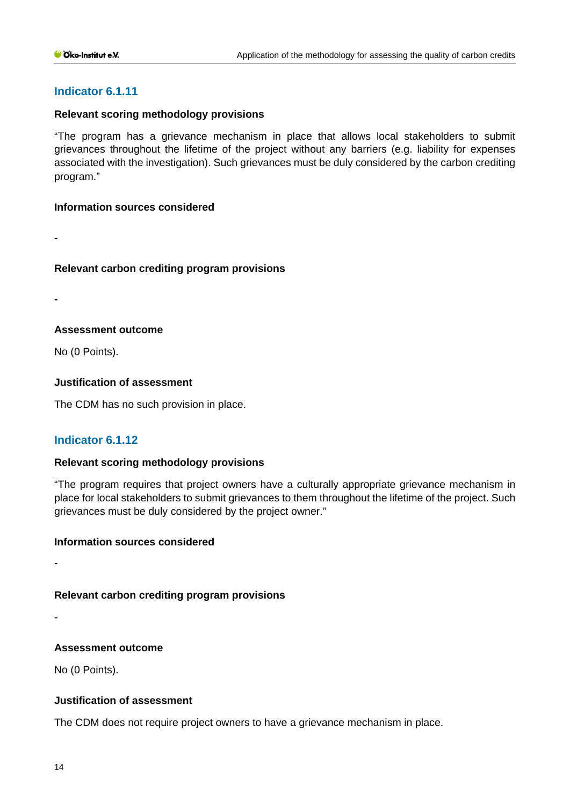### **Relevant scoring methodology provisions**

"The program has a grievance mechanism in place that allows local stakeholders to submit grievances throughout the lifetime of the project without any barriers (e.g. liability for expenses associated with the investigation). Such grievances must be duly considered by the carbon crediting program."

### **Information sources considered**

**-**

### **Relevant carbon crediting program provisions**

**-**

# **Assessment outcome**

No (0 Points).

# **Justification of assessment**

The CDM has no such provision in place.

# **Indicator 6.1.12**

# **Relevant scoring methodology provisions**

"The program requires that project owners have a culturally appropriate grievance mechanism in place for local stakeholders to submit grievances to them throughout the lifetime of the project. Such grievances must be duly considered by the project owner."

### **Information sources considered**

**Relevant carbon crediting program provisions**

-

-

# **Assessment outcome**

No (0 Points).

# **Justification of assessment**

The CDM does not require project owners to have a grievance mechanism in place.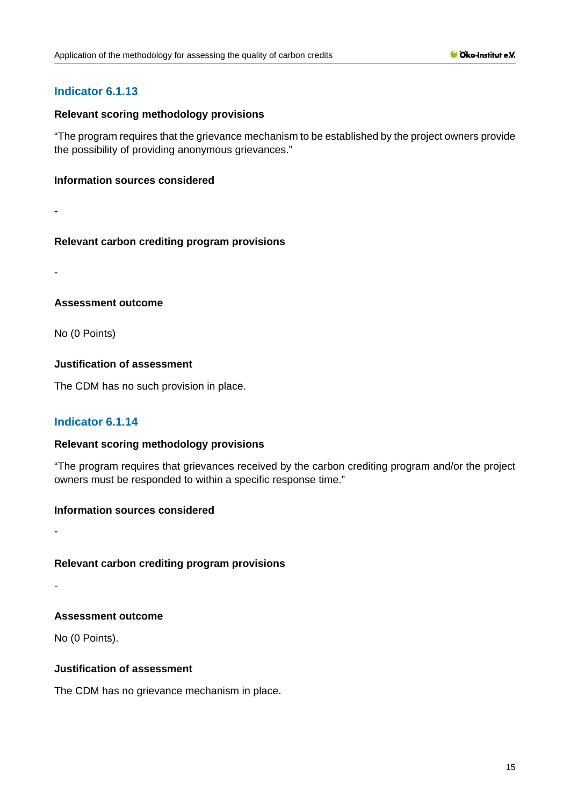### **Relevant scoring methodology provisions**

"The program requires that the grievance mechanism to be established by the project owners provide the possibility of providing anonymous grievances."

### **Information sources considered**

**-**

# **Relevant carbon crediting program provisions**

-

# **Assessment outcome**

No (0 Points)

# **Justification of assessment**

The CDM has no such provision in place.

# **Indicator 6.1.14**

# **Relevant scoring methodology provisions**

"The program requires that grievances received by the carbon crediting program and/or the project owners must be responded to within a specific response time."

### **Information sources considered**

-

-

# **Relevant carbon crediting program provisions**

# **Assessment outcome**

No (0 Points).

# **Justification of assessment**

The CDM has no grievance mechanism in place.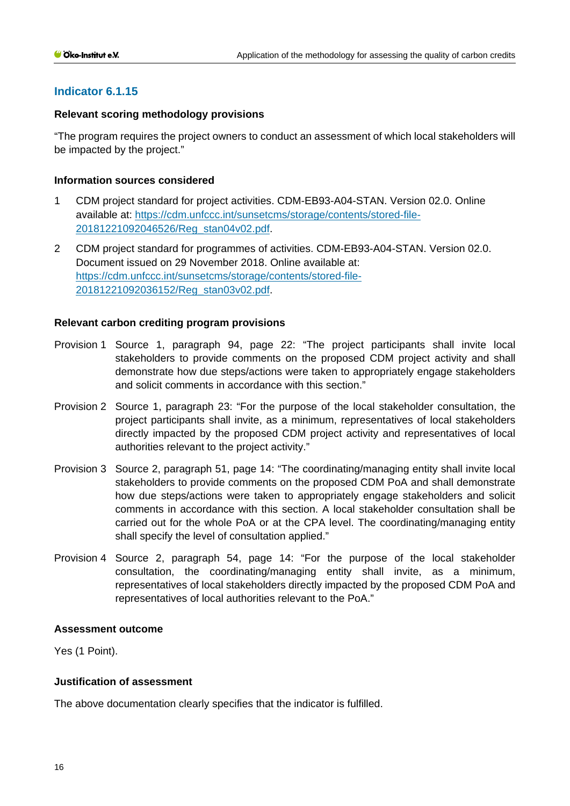### **Relevant scoring methodology provisions**

"The program requires the project owners to conduct an assessment of which local stakeholders will be impacted by the project."

### **Information sources considered**

- 1 CDM project standard for project activities. CDM-EB93-A04-STAN. Version 02.0. Online available at: [https://cdm.unfccc.int/sunsetcms/storage/contents/stored-file-](https://cdm.unfccc.int/sunsetcms/storage/contents/stored-file-20181221092046526/Reg_stan04v02.pdf)[20181221092046526/Reg\\_stan04v02.pdf.](https://cdm.unfccc.int/sunsetcms/storage/contents/stored-file-20181221092046526/Reg_stan04v02.pdf)
- 2 CDM project standard for programmes of activities. CDM-EB93-A04-STAN. Version 02.0. Document issued on 29 November 2018. Online available at: [https://cdm.unfccc.int/sunsetcms/storage/contents/stored-file-](https://cdm.unfccc.int/sunsetcms/storage/contents/stored-file-20181221092036152/Reg_stan03v02.pdf)[20181221092036152/Reg\\_stan03v02.pdf.](https://cdm.unfccc.int/sunsetcms/storage/contents/stored-file-20181221092036152/Reg_stan03v02.pdf)

# **Relevant carbon crediting program provisions**

- Provision 1 Source 1, paragraph 94, page 22: "The project participants shall invite local stakeholders to provide comments on the proposed CDM project activity and shall demonstrate how due steps/actions were taken to appropriately engage stakeholders and solicit comments in accordance with this section."
- Provision 2 Source 1, paragraph 23: "For the purpose of the local stakeholder consultation, the project participants shall invite, as a minimum, representatives of local stakeholders directly impacted by the proposed CDM project activity and representatives of local authorities relevant to the project activity."
- Provision 3 Source 2, paragraph 51, page 14: "The coordinating/managing entity shall invite local stakeholders to provide comments on the proposed CDM PoA and shall demonstrate how due steps/actions were taken to appropriately engage stakeholders and solicit comments in accordance with this section. A local stakeholder consultation shall be carried out for the whole PoA or at the CPA level. The coordinating/managing entity shall specify the level of consultation applied."
- Provision 4 Source 2, paragraph 54, page 14: "For the purpose of the local stakeholder consultation, the coordinating/managing entity shall invite, as a minimum, representatives of local stakeholders directly impacted by the proposed CDM PoA and representatives of local authorities relevant to the PoA."

### **Assessment outcome**

Yes (1 Point).

# **Justification of assessment**

The above documentation clearly specifies that the indicator is fulfilled.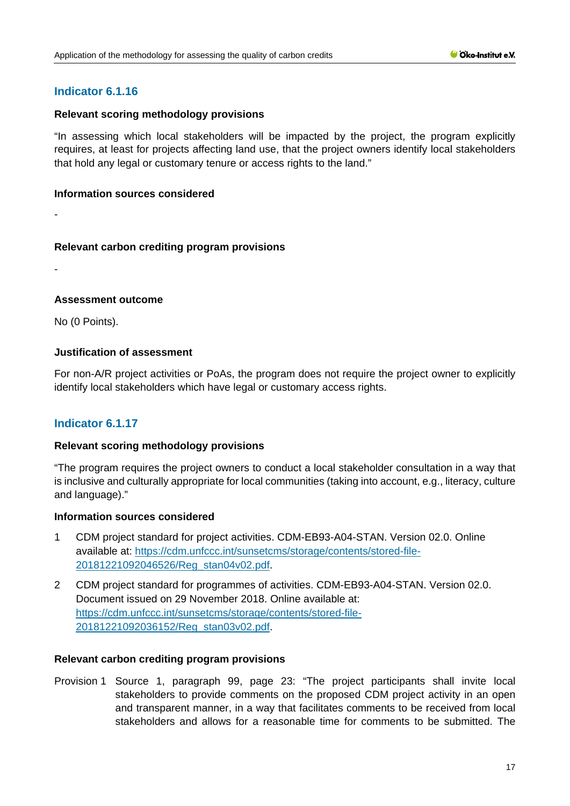### **Relevant scoring methodology provisions**

"In assessing which local stakeholders will be impacted by the project, the program explicitly requires, at least for projects affecting land use, that the project owners identify local stakeholders that hold any legal or customary tenure or access rights to the land."

### **Information sources considered**

-

# **Relevant carbon crediting program provisions**

-

# **Assessment outcome**

No (0 Points).

# **Justification of assessment**

For non-A/R project activities or PoAs, the program does not require the project owner to explicitly identify local stakeholders which have legal or customary access rights.

# **Indicator 6.1.17**

# **Relevant scoring methodology provisions**

"The program requires the project owners to conduct a local stakeholder consultation in a way that is inclusive and culturally appropriate for local communities (taking into account, e.g., literacy, culture and language)."

### **Information sources considered**

- 1 CDM project standard for project activities. CDM-EB93-A04-STAN. Version 02.0. Online available at: [https://cdm.unfccc.int/sunsetcms/storage/contents/stored-file-](https://cdm.unfccc.int/sunsetcms/storage/contents/stored-file-20181221092046526/Reg_stan04v02.pdf)[20181221092046526/Reg\\_stan04v02.pdf.](https://cdm.unfccc.int/sunsetcms/storage/contents/stored-file-20181221092046526/Reg_stan04v02.pdf)
- 2 CDM project standard for programmes of activities. CDM-EB93-A04-STAN. Version 02.0. Document issued on 29 November 2018. Online available at: [https://cdm.unfccc.int/sunsetcms/storage/contents/stored-file-](https://cdm.unfccc.int/sunsetcms/storage/contents/stored-file-20181221092036152/Reg_stan03v02.pdf)[20181221092036152/Reg\\_stan03v02.pdf.](https://cdm.unfccc.int/sunsetcms/storage/contents/stored-file-20181221092036152/Reg_stan03v02.pdf)

# **Relevant carbon crediting program provisions**

Provision 1 Source 1, paragraph 99, page 23: "The project participants shall invite local stakeholders to provide comments on the proposed CDM project activity in an open and transparent manner, in a way that facilitates comments to be received from local stakeholders and allows for a reasonable time for comments to be submitted. The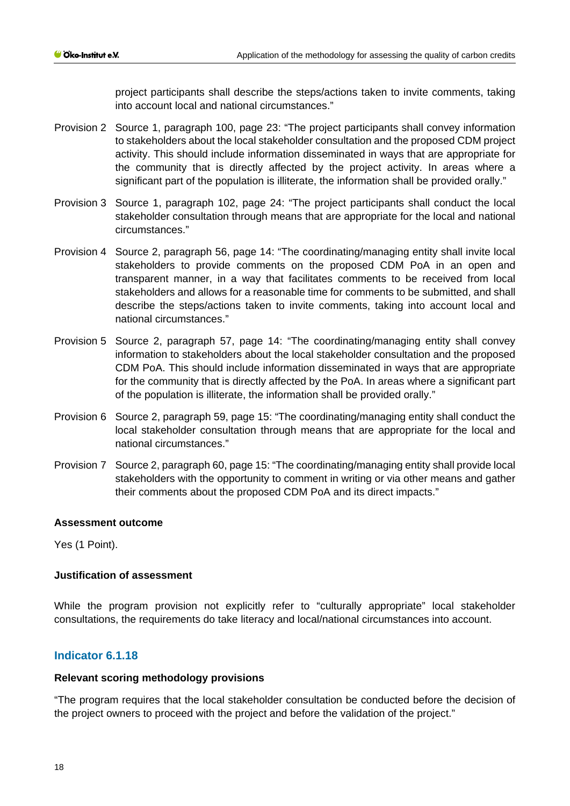project participants shall describe the steps/actions taken to invite comments, taking into account local and national circumstances."

- Provision 2 Source 1, paragraph 100, page 23: "The project participants shall convey information to stakeholders about the local stakeholder consultation and the proposed CDM project activity. This should include information disseminated in ways that are appropriate for the community that is directly affected by the project activity. In areas where a significant part of the population is illiterate, the information shall be provided orally."
- Provision 3 Source 1, paragraph 102, page 24: "The project participants shall conduct the local stakeholder consultation through means that are appropriate for the local and national circumstances."
- Provision 4 Source 2, paragraph 56, page 14: "The coordinating/managing entity shall invite local stakeholders to provide comments on the proposed CDM PoA in an open and transparent manner, in a way that facilitates comments to be received from local stakeholders and allows for a reasonable time for comments to be submitted, and shall describe the steps/actions taken to invite comments, taking into account local and national circumstances."
- Provision 5 Source 2, paragraph 57, page 14: "The coordinating/managing entity shall convey information to stakeholders about the local stakeholder consultation and the proposed CDM PoA. This should include information disseminated in ways that are appropriate for the community that is directly affected by the PoA. In areas where a significant part of the population is illiterate, the information shall be provided orally."
- Provision 6 Source 2, paragraph 59, page 15: "The coordinating/managing entity shall conduct the local stakeholder consultation through means that are appropriate for the local and national circumstances."
- Provision 7 Source 2, paragraph 60, page 15: "The coordinating/managing entity shall provide local stakeholders with the opportunity to comment in writing or via other means and gather their comments about the proposed CDM PoA and its direct impacts."

### **Assessment outcome**

Yes (1 Point).

# **Justification of assessment**

While the program provision not explicitly refer to "culturally appropriate" local stakeholder consultations, the requirements do take literacy and local/national circumstances into account.

# **Indicator 6.1.18**

### **Relevant scoring methodology provisions**

"The program requires that the local stakeholder consultation be conducted before the decision of the project owners to proceed with the project and before the validation of the project."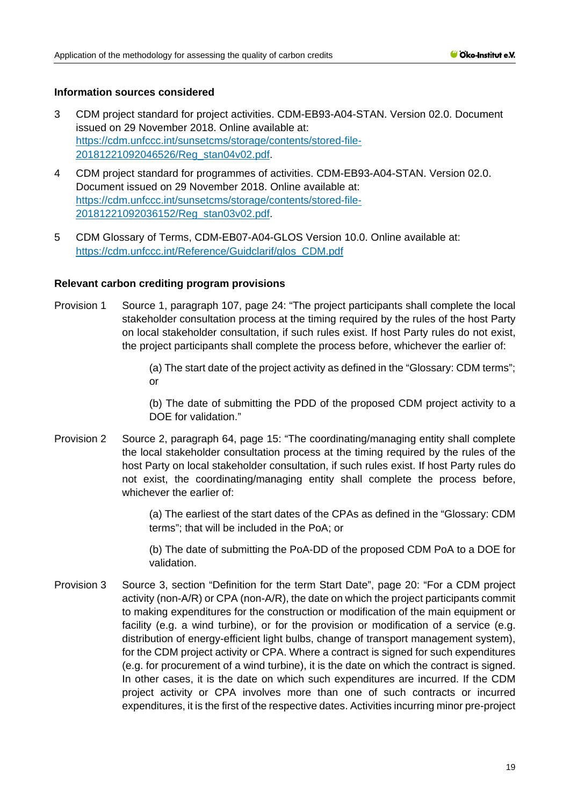- 3 CDM project standard for project activities. CDM-EB93-A04-STAN. Version 02.0. Document issued on 29 November 2018. Online available at: [https://cdm.unfccc.int/sunsetcms/storage/contents/stored-file-](https://cdm.unfccc.int/sunsetcms/storage/contents/stored-file-20181221092046526/Reg_stan04v02.pdf)[20181221092046526/Reg\\_stan04v02.pdf.](https://cdm.unfccc.int/sunsetcms/storage/contents/stored-file-20181221092046526/Reg_stan04v02.pdf)
- 4 CDM project standard for programmes of activities. CDM-EB93-A04-STAN. Version 02.0. Document issued on 29 November 2018. Online available at: [https://cdm.unfccc.int/sunsetcms/storage/contents/stored-file-](https://cdm.unfccc.int/sunsetcms/storage/contents/stored-file-20181221092036152/Reg_stan03v02.pdf)[20181221092036152/Reg\\_stan03v02.pdf.](https://cdm.unfccc.int/sunsetcms/storage/contents/stored-file-20181221092036152/Reg_stan03v02.pdf)
- 5 CDM Glossary of Terms, CDM-EB07-A04-GLOS Version 10.0. Online available at: [https://cdm.unfccc.int/Reference/Guidclarif/glos\\_CDM.pdf](https://cdm.unfccc.int/Reference/Guidclarif/glos_CDM.pdf)

### **Relevant carbon crediting program provisions**

- Provision 1 Source 1, paragraph 107, page 24: "The project participants shall complete the local stakeholder consultation process at the timing required by the rules of the host Party on local stakeholder consultation, if such rules exist. If host Party rules do not exist, the project participants shall complete the process before, whichever the earlier of:
	- (a) The start date of the project activity as defined in the "Glossary: CDM terms"; or

(b) The date of submitting the PDD of the proposed CDM project activity to a DOE for validation."

Provision 2 Source 2, paragraph 64, page 15: "The coordinating/managing entity shall complete the local stakeholder consultation process at the timing required by the rules of the host Party on local stakeholder consultation, if such rules exist. If host Party rules do not exist, the coordinating/managing entity shall complete the process before, whichever the earlier of

> (a) The earliest of the start dates of the CPAs as defined in the "Glossary: CDM terms"; that will be included in the PoA; or

> (b) The date of submitting the PoA-DD of the proposed CDM PoA to a DOE for validation.

Provision 3 Source 3, section "Definition for the term Start Date", page 20: "For a CDM project activity (non-A/R) or CPA (non-A/R), the date on which the project participants commit to making expenditures for the construction or modification of the main equipment or facility (e.g. a wind turbine), or for the provision or modification of a service (e.g. distribution of energy-efficient light bulbs, change of transport management system), for the CDM project activity or CPA. Where a contract is signed for such expenditures (e.g. for procurement of a wind turbine), it is the date on which the contract is signed. In other cases, it is the date on which such expenditures are incurred. If the CDM project activity or CPA involves more than one of such contracts or incurred expenditures, it is the first of the respective dates. Activities incurring minor pre-project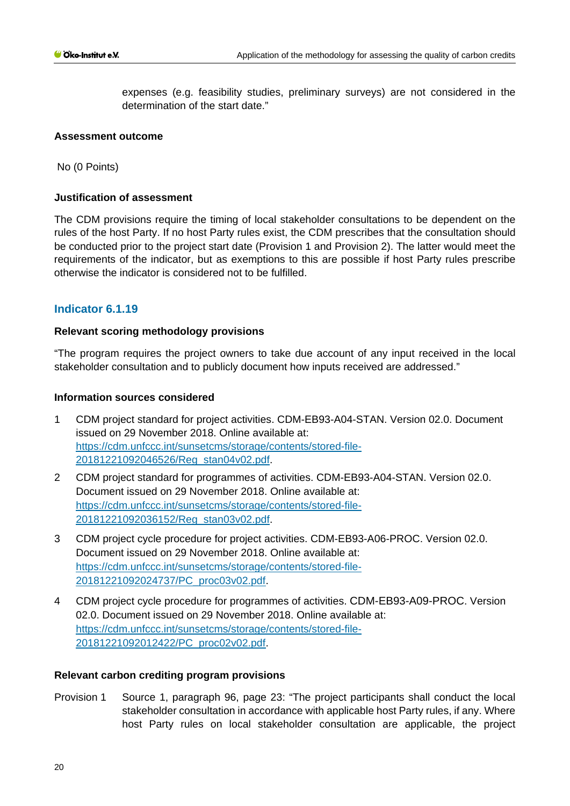expenses (e.g. feasibility studies, preliminary surveys) are not considered in the determination of the start date."

### **Assessment outcome**

No (0 Points)

### **Justification of assessment**

The CDM provisions require the timing of local stakeholder consultations to be dependent on the rules of the host Party. If no host Party rules exist, the CDM prescribes that the consultation should be conducted prior to the project start date (Provision 1 and Provision 2). The latter would meet the requirements of the indicator, but as exemptions to this are possible if host Party rules prescribe otherwise the indicator is considered not to be fulfilled.

# **Indicator 6.1.19**

### **Relevant scoring methodology provisions**

"The program requires the project owners to take due account of any input received in the local stakeholder consultation and to publicly document how inputs received are addressed."

### **Information sources considered**

- 1 CDM project standard for project activities. CDM-EB93-A04-STAN. Version 02.0. Document issued on 29 November 2018. Online available at: [https://cdm.unfccc.int/sunsetcms/storage/contents/stored-file-](https://cdm.unfccc.int/sunsetcms/storage/contents/stored-file-20181221092046526/Reg_stan04v02.pdf)[20181221092046526/Reg\\_stan04v02.pdf.](https://cdm.unfccc.int/sunsetcms/storage/contents/stored-file-20181221092046526/Reg_stan04v02.pdf)
- 2 CDM project standard for programmes of activities. CDM-EB93-A04-STAN. Version 02.0. Document issued on 29 November 2018. Online available at: [https://cdm.unfccc.int/sunsetcms/storage/contents/stored-file-](https://cdm.unfccc.int/sunsetcms/storage/contents/stored-file-20181221092036152/Reg_stan03v02.pdf)[20181221092036152/Reg\\_stan03v02.pdf.](https://cdm.unfccc.int/sunsetcms/storage/contents/stored-file-20181221092036152/Reg_stan03v02.pdf)
- 3 CDM project cycle procedure for project activities. CDM-EB93-A06-PROC. Version 02.0. Document issued on 29 November 2018. Online available at: [https://cdm.unfccc.int/sunsetcms/storage/contents/stored-file-](https://cdm.unfccc.int/sunsetcms/storage/contents/stored-file-20181221092024737/PC_proc03v02.pdf)[20181221092024737/PC\\_proc03v02.pdf.](https://cdm.unfccc.int/sunsetcms/storage/contents/stored-file-20181221092024737/PC_proc03v02.pdf)
- 4 CDM project cycle procedure for programmes of activities. CDM-EB93-A09-PROC. Version 02.0. Document issued on 29 November 2018. Online available at: [https://cdm.unfccc.int/sunsetcms/storage/contents/stored-file-](https://cdm.unfccc.int/sunsetcms/storage/contents/stored-file-20181221092012422/PC_proc02v02.pdf)[20181221092012422/PC\\_proc02v02.pdf.](https://cdm.unfccc.int/sunsetcms/storage/contents/stored-file-20181221092012422/PC_proc02v02.pdf)

### **Relevant carbon crediting program provisions**

Provision 1 Source 1, paragraph 96, page 23: "The project participants shall conduct the local stakeholder consultation in accordance with applicable host Party rules, if any. Where host Party rules on local stakeholder consultation are applicable, the project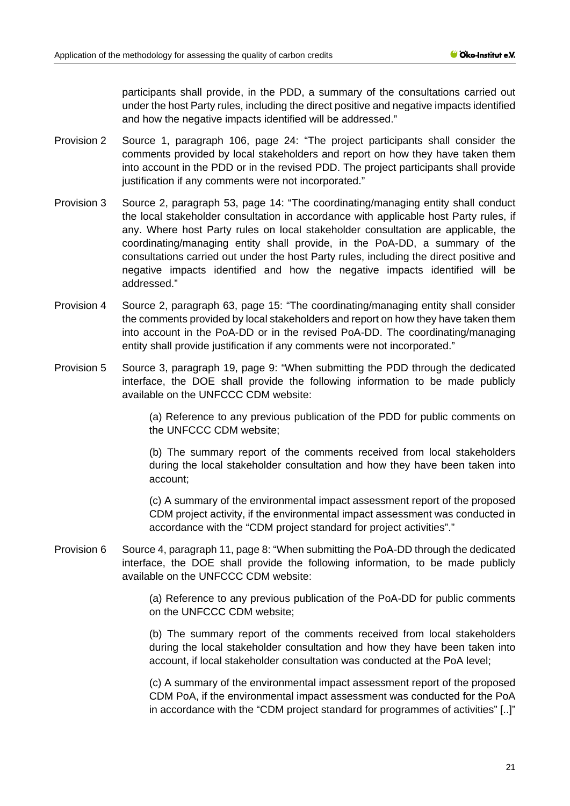participants shall provide, in the PDD, a summary of the consultations carried out under the host Party rules, including the direct positive and negative impacts identified and how the negative impacts identified will be addressed."

- Provision 2 Source 1, paragraph 106, page 24: "The project participants shall consider the comments provided by local stakeholders and report on how they have taken them into account in the PDD or in the revised PDD. The project participants shall provide justification if any comments were not incorporated."
- Provision 3 Source 2, paragraph 53, page 14: "The coordinating/managing entity shall conduct the local stakeholder consultation in accordance with applicable host Party rules, if any. Where host Party rules on local stakeholder consultation are applicable, the coordinating/managing entity shall provide, in the PoA-DD, a summary of the consultations carried out under the host Party rules, including the direct positive and negative impacts identified and how the negative impacts identified will be addressed."
- Provision 4 Source 2, paragraph 63, page 15: "The coordinating/managing entity shall consider the comments provided by local stakeholders and report on how they have taken them into account in the PoA-DD or in the revised PoA-DD. The coordinating/managing entity shall provide justification if any comments were not incorporated."
- Provision 5 Source 3, paragraph 19, page 9: "When submitting the PDD through the dedicated interface, the DOE shall provide the following information to be made publicly available on the UNFCCC CDM website:

(a) Reference to any previous publication of the PDD for public comments on the UNFCCC CDM website;

(b) The summary report of the comments received from local stakeholders during the local stakeholder consultation and how they have been taken into account;

(c) A summary of the environmental impact assessment report of the proposed CDM project activity, if the environmental impact assessment was conducted in accordance with the "CDM project standard for project activities"."

Provision 6 Source 4, paragraph 11, page 8: "When submitting the PoA-DD through the dedicated interface, the DOE shall provide the following information, to be made publicly available on the UNFCCC CDM website:

> (a) Reference to any previous publication of the PoA-DD for public comments on the UNFCCC CDM website;

> (b) The summary report of the comments received from local stakeholders during the local stakeholder consultation and how they have been taken into account, if local stakeholder consultation was conducted at the PoA level;

> (c) A summary of the environmental impact assessment report of the proposed CDM PoA, if the environmental impact assessment was conducted for the PoA in accordance with the "CDM project standard for programmes of activities" [..]"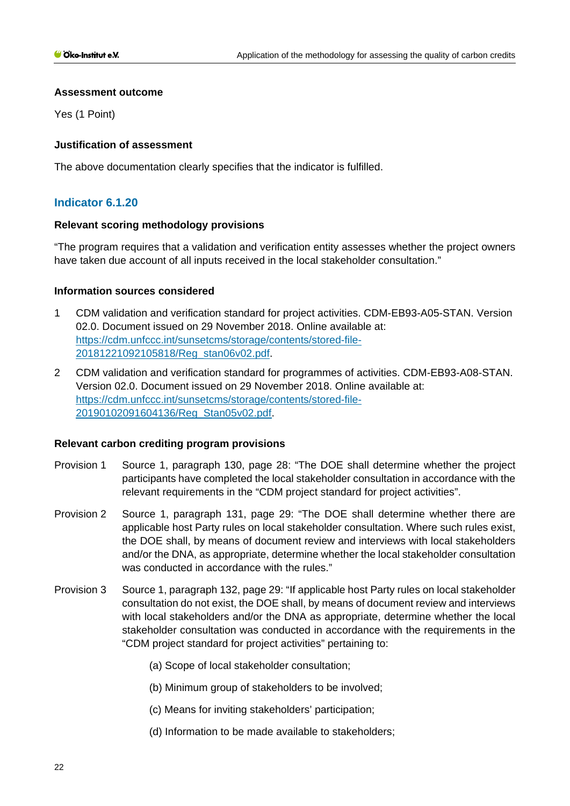### **Assessment outcome**

Yes (1 Point)

# **Justification of assessment**

The above documentation clearly specifies that the indicator is fulfilled.

# **Indicator 6.1.20**

# **Relevant scoring methodology provisions**

"The program requires that a validation and verification entity assesses whether the project owners have taken due account of all inputs received in the local stakeholder consultation."

# **Information sources considered**

- 1 CDM validation and verification standard for project activities. CDM-EB93-A05-STAN. Version 02.0. Document issued on 29 November 2018. Online available at: [https://cdm.unfccc.int/sunsetcms/storage/contents/stored-file-](https://cdm.unfccc.int/sunsetcms/storage/contents/stored-file-20181221092105818/Reg_stan06v02.pdf)[20181221092105818/Reg\\_stan06v02.pdf.](https://cdm.unfccc.int/sunsetcms/storage/contents/stored-file-20181221092105818/Reg_stan06v02.pdf)
- 2 CDM validation and verification standard for programmes of activities. CDM-EB93-A08-STAN. Version 02.0. Document issued on 29 November 2018. Online available at: [https://cdm.unfccc.int/sunsetcms/storage/contents/stored-file-](https://cdm.unfccc.int/sunsetcms/storage/contents/stored-file-20190102091604136/Reg_Stan05v02.pdf)[20190102091604136/Reg\\_Stan05v02.pdf.](https://cdm.unfccc.int/sunsetcms/storage/contents/stored-file-20190102091604136/Reg_Stan05v02.pdf)

# **Relevant carbon crediting program provisions**

- Provision 1 Source 1, paragraph 130, page 28: "The DOE shall determine whether the project participants have completed the local stakeholder consultation in accordance with the relevant requirements in the "CDM project standard for project activities".
- Provision 2 Source 1, paragraph 131, page 29: "The DOE shall determine whether there are applicable host Party rules on local stakeholder consultation. Where such rules exist, the DOE shall, by means of document review and interviews with local stakeholders and/or the DNA, as appropriate, determine whether the local stakeholder consultation was conducted in accordance with the rules."
- Provision 3 Source 1, paragraph 132, page 29: "If applicable host Party rules on local stakeholder consultation do not exist, the DOE shall, by means of document review and interviews with local stakeholders and/or the DNA as appropriate, determine whether the local stakeholder consultation was conducted in accordance with the requirements in the "CDM project standard for project activities" pertaining to:
	- (a) Scope of local stakeholder consultation;
	- (b) Minimum group of stakeholders to be involved;
	- (c) Means for inviting stakeholders' participation;
	- (d) Information to be made available to stakeholders;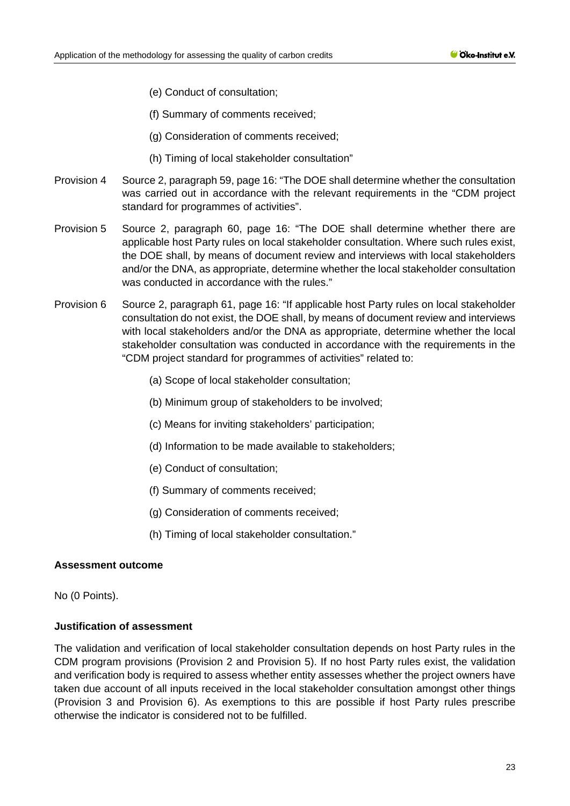- (e) Conduct of consultation;
- (f) Summary of comments received;
- (g) Consideration of comments received;
- (h) Timing of local stakeholder consultation"
- Provision 4 Source 2, paragraph 59, page 16: "The DOE shall determine whether the consultation was carried out in accordance with the relevant requirements in the "CDM project standard for programmes of activities".
- Provision 5 Source 2, paragraph 60, page 16: "The DOE shall determine whether there are applicable host Party rules on local stakeholder consultation. Where such rules exist, the DOE shall, by means of document review and interviews with local stakeholders and/or the DNA, as appropriate, determine whether the local stakeholder consultation was conducted in accordance with the rules."
- Provision 6 Source 2, paragraph 61, page 16: "If applicable host Party rules on local stakeholder consultation do not exist, the DOE shall, by means of document review and interviews with local stakeholders and/or the DNA as appropriate, determine whether the local stakeholder consultation was conducted in accordance with the requirements in the "CDM project standard for programmes of activities" related to:
	- (a) Scope of local stakeholder consultation;
	- (b) Minimum group of stakeholders to be involved;
	- (c) Means for inviting stakeholders' participation;
	- (d) Information to be made available to stakeholders;
	- (e) Conduct of consultation;
	- (f) Summary of comments received;
	- (g) Consideration of comments received;
	- (h) Timing of local stakeholder consultation."

# **Assessment outcome**

No (0 Points).

# **Justification of assessment**

The validation and verification of local stakeholder consultation depends on host Party rules in the CDM program provisions (Provision 2 and Provision 5). If no host Party rules exist, the validation and verification body is required to assess whether entity assesses whether the project owners have taken due account of all inputs received in the local stakeholder consultation amongst other things (Provision 3 and Provision 6). As exemptions to this are possible if host Party rules prescribe otherwise the indicator is considered not to be fulfilled.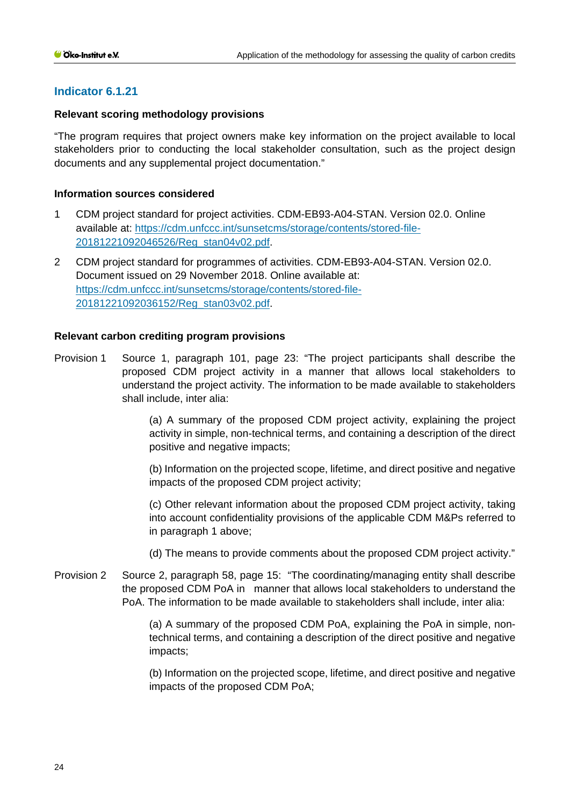### **Relevant scoring methodology provisions**

"The program requires that project owners make key information on the project available to local stakeholders prior to conducting the local stakeholder consultation, such as the project design documents and any supplemental project documentation."

### **Information sources considered**

- 1 CDM project standard for project activities. CDM-EB93-A04-STAN. Version 02.0. Online available at: [https://cdm.unfccc.int/sunsetcms/storage/contents/stored-file-](https://cdm.unfccc.int/sunsetcms/storage/contents/stored-file-20181221092046526/Reg_stan04v02.pdf)[20181221092046526/Reg\\_stan04v02.pdf.](https://cdm.unfccc.int/sunsetcms/storage/contents/stored-file-20181221092046526/Reg_stan04v02.pdf)
- 2 CDM project standard for programmes of activities. CDM-EB93-A04-STAN. Version 02.0. Document issued on 29 November 2018. Online available at: [https://cdm.unfccc.int/sunsetcms/storage/contents/stored-file-](https://cdm.unfccc.int/sunsetcms/storage/contents/stored-file-20181221092036152/Reg_stan03v02.pdf)[20181221092036152/Reg\\_stan03v02.pdf.](https://cdm.unfccc.int/sunsetcms/storage/contents/stored-file-20181221092036152/Reg_stan03v02.pdf)

### **Relevant carbon crediting program provisions**

Provision 1 Source 1, paragraph 101, page 23: "The project participants shall describe the proposed CDM project activity in a manner that allows local stakeholders to understand the project activity. The information to be made available to stakeholders shall include, inter alia:

> (a) A summary of the proposed CDM project activity, explaining the project activity in simple, non-technical terms, and containing a description of the direct positive and negative impacts;

> (b) Information on the projected scope, lifetime, and direct positive and negative impacts of the proposed CDM project activity;

> (c) Other relevant information about the proposed CDM project activity, taking into account confidentiality provisions of the applicable CDM M&Ps referred to in paragraph 1 above;

> (d) The means to provide comments about the proposed CDM project activity."

Provision 2 Source 2, paragraph 58, page 15: "The coordinating/managing entity shall describe the proposed CDM PoA in manner that allows local stakeholders to understand the PoA. The information to be made available to stakeholders shall include, inter alia:

> (a) A summary of the proposed CDM PoA, explaining the PoA in simple, nontechnical terms, and containing a description of the direct positive and negative impacts;

> (b) Information on the projected scope, lifetime, and direct positive and negative impacts of the proposed CDM PoA;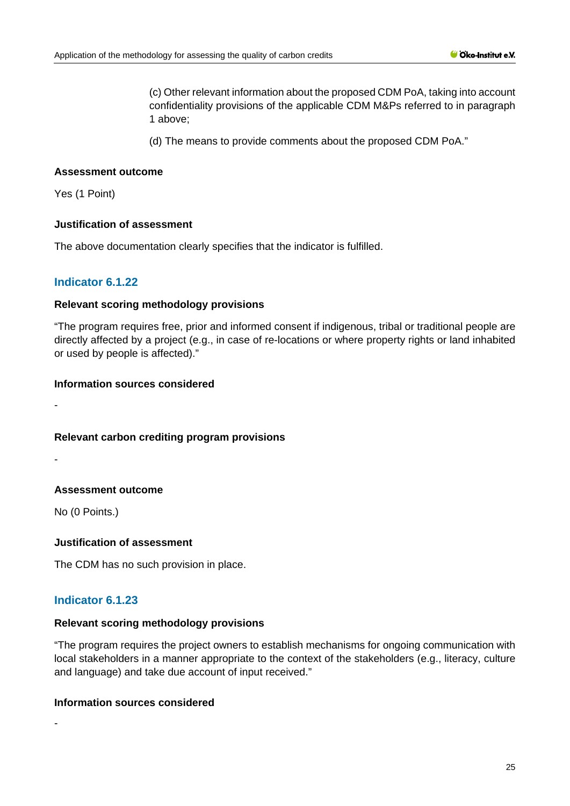(c) Other relevant information about the proposed CDM PoA, taking into account confidentiality provisions of the applicable CDM M&Ps referred to in paragraph 1 above;

(d) The means to provide comments about the proposed CDM PoA."

### **Assessment outcome**

Yes (1 Point)

### **Justification of assessment**

The above documentation clearly specifies that the indicator is fulfilled.

# **Indicator 6.1.22**

### **Relevant scoring methodology provisions**

"The program requires free, prior and informed consent if indigenous, tribal or traditional people are directly affected by a project (e.g., in case of re-locations or where property rights or land inhabited or used by people is affected)."

### **Information sources considered**

-

# **Relevant carbon crediting program provisions**

-

# **Assessment outcome**

No (0 Points.)

# **Justification of assessment**

The CDM has no such provision in place.

# **Indicator 6.1.23**

### **Relevant scoring methodology provisions**

"The program requires the project owners to establish mechanisms for ongoing communication with local stakeholders in a manner appropriate to the context of the stakeholders (e.g., literacy, culture and language) and take due account of input received."

### **Information sources considered**

-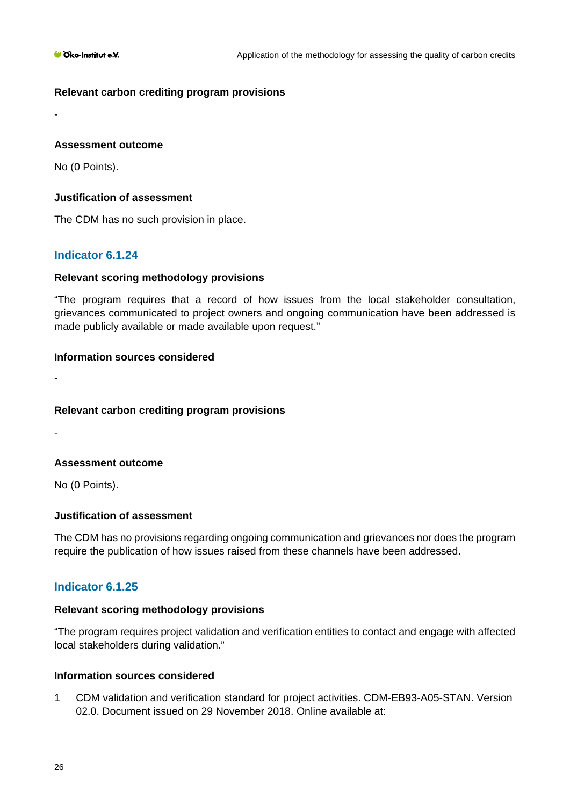# **Relevant carbon crediting program provisions**

### **Assessment outcome**

No (0 Points).

-

# **Justification of assessment**

The CDM has no such provision in place.

# **Indicator 6.1.24**

### **Relevant scoring methodology provisions**

"The program requires that a record of how issues from the local stakeholder consultation, grievances communicated to project owners and ongoing communication have been addressed is made publicly available or made available upon request."

### **Information sources considered**

**Relevant carbon crediting program provisions**

-

-

# **Assessment outcome**

No (0 Points).

# **Justification of assessment**

The CDM has no provisions regarding ongoing communication and grievances nor does the program require the publication of how issues raised from these channels have been addressed.

# **Indicator 6.1.25**

# **Relevant scoring methodology provisions**

"The program requires project validation and verification entities to contact and engage with affected local stakeholders during validation."

### **Information sources considered**

1 CDM validation and verification standard for project activities. CDM-EB93-A05-STAN. Version 02.0. Document issued on 29 November 2018. Online available at: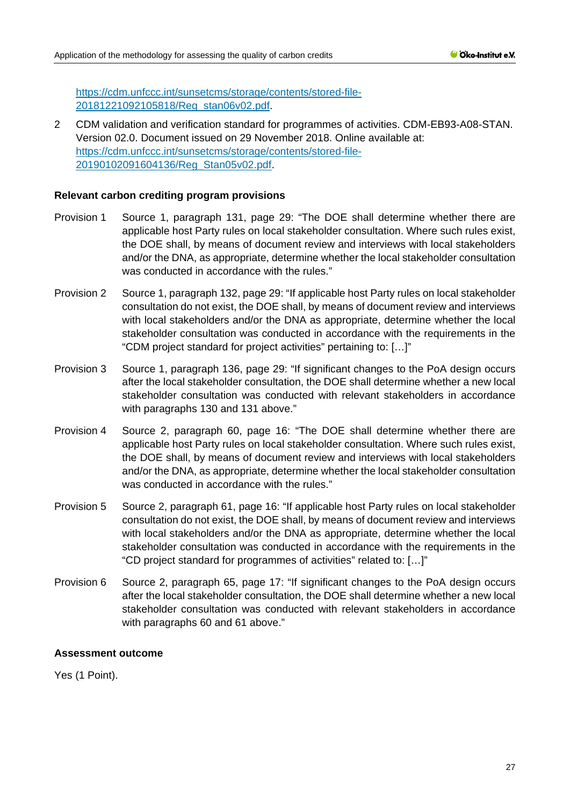[https://cdm.unfccc.int/sunsetcms/storage/contents/stored-file-](https://cdm.unfccc.int/sunsetcms/storage/contents/stored-file-20181221092105818/Reg_stan06v02.pdf)[20181221092105818/Reg\\_stan06v02.pdf.](https://cdm.unfccc.int/sunsetcms/storage/contents/stored-file-20181221092105818/Reg_stan06v02.pdf)

2 CDM validation and verification standard for programmes of activities. CDM-EB93-A08-STAN. Version 02.0. Document issued on 29 November 2018. Online available at: [https://cdm.unfccc.int/sunsetcms/storage/contents/stored-file-](https://cdm.unfccc.int/sunsetcms/storage/contents/stored-file-20190102091604136/Reg_Stan05v02.pdf)[20190102091604136/Reg\\_Stan05v02.pdf.](https://cdm.unfccc.int/sunsetcms/storage/contents/stored-file-20190102091604136/Reg_Stan05v02.pdf)

# **Relevant carbon crediting program provisions**

- Provision 1 Source 1, paragraph 131, page 29: "The DOE shall determine whether there are applicable host Party rules on local stakeholder consultation. Where such rules exist, the DOE shall, by means of document review and interviews with local stakeholders and/or the DNA, as appropriate, determine whether the local stakeholder consultation was conducted in accordance with the rules."
- Provision 2 Source 1, paragraph 132, page 29: "If applicable host Party rules on local stakeholder consultation do not exist, the DOE shall, by means of document review and interviews with local stakeholders and/or the DNA as appropriate, determine whether the local stakeholder consultation was conducted in accordance with the requirements in the "CDM project standard for project activities" pertaining to: […]"
- Provision 3 Source 1, paragraph 136, page 29: "If significant changes to the PoA design occurs after the local stakeholder consultation, the DOE shall determine whether a new local stakeholder consultation was conducted with relevant stakeholders in accordance with paragraphs 130 and 131 above."
- Provision 4 Source 2, paragraph 60, page 16: "The DOE shall determine whether there are applicable host Party rules on local stakeholder consultation. Where such rules exist, the DOE shall, by means of document review and interviews with local stakeholders and/or the DNA, as appropriate, determine whether the local stakeholder consultation was conducted in accordance with the rules."
- Provision 5 Source 2, paragraph 61, page 16: "If applicable host Party rules on local stakeholder consultation do not exist, the DOE shall, by means of document review and interviews with local stakeholders and/or the DNA as appropriate, determine whether the local stakeholder consultation was conducted in accordance with the requirements in the "CD project standard for programmes of activities" related to: […]"
- Provision 6 Source 2, paragraph 65, page 17: "If significant changes to the PoA design occurs after the local stakeholder consultation, the DOE shall determine whether a new local stakeholder consultation was conducted with relevant stakeholders in accordance with paragraphs 60 and 61 above."

# **Assessment outcome**

Yes (1 Point).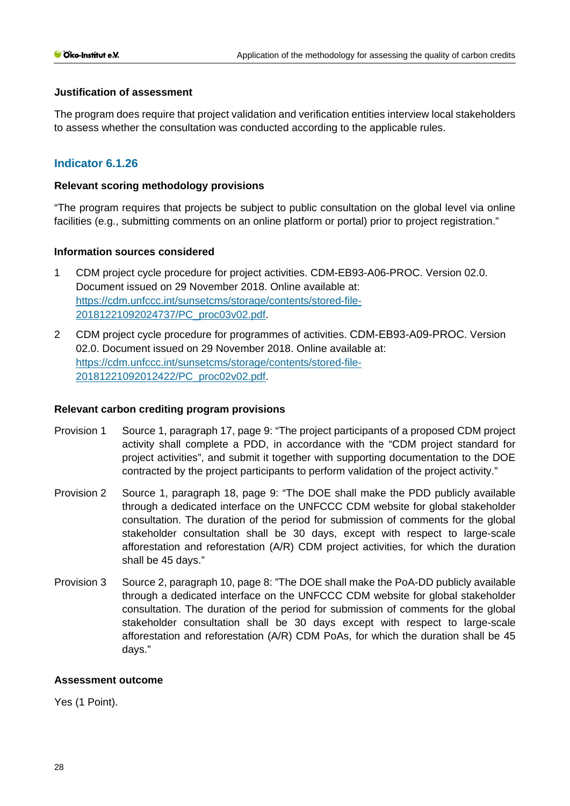### **Justification of assessment**

The program does require that project validation and verification entities interview local stakeholders to assess whether the consultation was conducted according to the applicable rules.

# **Indicator 6.1.26**

### **Relevant scoring methodology provisions**

"The program requires that projects be subject to public consultation on the global level via online facilities (e.g., submitting comments on an online platform or portal) prior to project registration."

### **Information sources considered**

- 1 CDM project cycle procedure for project activities. CDM-EB93-A06-PROC. Version 02.0. Document issued on 29 November 2018. Online available at: [https://cdm.unfccc.int/sunsetcms/storage/contents/stored-file-](https://cdm.unfccc.int/sunsetcms/storage/contents/stored-file-20181221092024737/PC_proc03v02.pdf)[20181221092024737/PC\\_proc03v02.pdf.](https://cdm.unfccc.int/sunsetcms/storage/contents/stored-file-20181221092024737/PC_proc03v02.pdf)
- 2 CDM project cycle procedure for programmes of activities. CDM-EB93-A09-PROC. Version 02.0. Document issued on 29 November 2018. Online available at: [https://cdm.unfccc.int/sunsetcms/storage/contents/stored-file-](https://cdm.unfccc.int/sunsetcms/storage/contents/stored-file-20181221092012422/PC_proc02v02.pdf)[20181221092012422/PC\\_proc02v02.pdf.](https://cdm.unfccc.int/sunsetcms/storage/contents/stored-file-20181221092012422/PC_proc02v02.pdf)

### **Relevant carbon crediting program provisions**

- Provision 1 Source 1, paragraph 17, page 9: "The project participants of a proposed CDM project activity shall complete a PDD, in accordance with the "CDM project standard for project activities", and submit it together with supporting documentation to the DOE contracted by the project participants to perform validation of the project activity."
- Provision 2 Source 1, paragraph 18, page 9: "The DOE shall make the PDD publicly available through a dedicated interface on the UNFCCC CDM website for global stakeholder consultation. The duration of the period for submission of comments for the global stakeholder consultation shall be 30 days, except with respect to large-scale afforestation and reforestation (A/R) CDM project activities, for which the duration shall be 45 days."
- Provision 3 Source 2, paragraph 10, page 8: "The DOE shall make the PoA-DD publicly available through a dedicated interface on the UNFCCC CDM website for global stakeholder consultation. The duration of the period for submission of comments for the global stakeholder consultation shall be 30 days except with respect to large-scale afforestation and reforestation (A/R) CDM PoAs, for which the duration shall be 45 days."

### **Assessment outcome**

Yes (1 Point).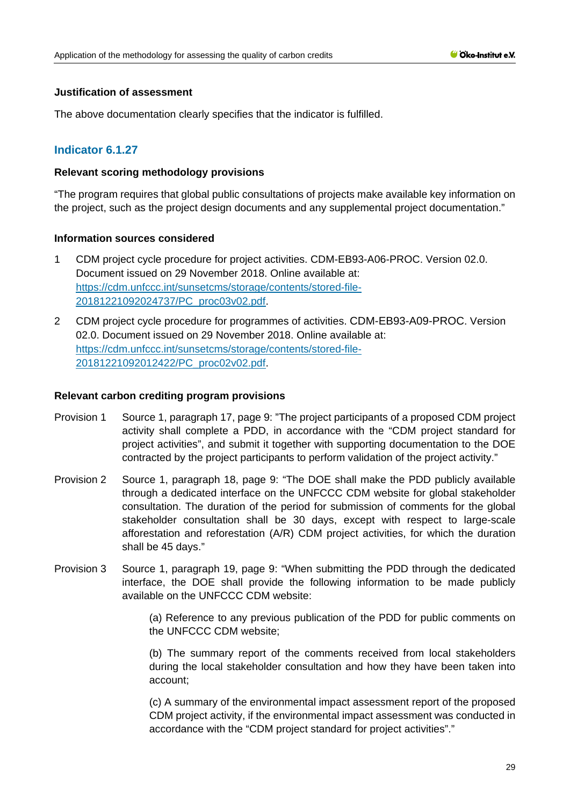### **Justification of assessment**

The above documentation clearly specifies that the indicator is fulfilled.

# **Indicator 6.1.27**

### **Relevant scoring methodology provisions**

"The program requires that global public consultations of projects make available key information on the project, such as the project design documents and any supplemental project documentation."

### **Information sources considered**

- 1 CDM project cycle procedure for project activities. CDM-EB93-A06-PROC. Version 02.0. Document issued on 29 November 2018. Online available at: [https://cdm.unfccc.int/sunsetcms/storage/contents/stored-file-](https://cdm.unfccc.int/sunsetcms/storage/contents/stored-file-20181221092024737/PC_proc03v02.pdf)[20181221092024737/PC\\_proc03v02.pdf.](https://cdm.unfccc.int/sunsetcms/storage/contents/stored-file-20181221092024737/PC_proc03v02.pdf)
- 2 CDM project cycle procedure for programmes of activities. CDM-EB93-A09-PROC. Version 02.0. Document issued on 29 November 2018. Online available at: [https://cdm.unfccc.int/sunsetcms/storage/contents/stored-file-](https://cdm.unfccc.int/sunsetcms/storage/contents/stored-file-20181221092012422/PC_proc02v02.pdf)[20181221092012422/PC\\_proc02v02.pdf.](https://cdm.unfccc.int/sunsetcms/storage/contents/stored-file-20181221092012422/PC_proc02v02.pdf)

### **Relevant carbon crediting program provisions**

- Provision 1 Source 1, paragraph 17, page 9: "The project participants of a proposed CDM project activity shall complete a PDD, in accordance with the "CDM project standard for project activities", and submit it together with supporting documentation to the DOE contracted by the project participants to perform validation of the project activity."
- Provision 2 Source 1, paragraph 18, page 9: "The DOE shall make the PDD publicly available through a dedicated interface on the UNFCCC CDM website for global stakeholder consultation. The duration of the period for submission of comments for the global stakeholder consultation shall be 30 days, except with respect to large-scale afforestation and reforestation (A/R) CDM project activities, for which the duration shall be 45 days."
- Provision 3 Source 1, paragraph 19, page 9: "When submitting the PDD through the dedicated interface, the DOE shall provide the following information to be made publicly available on the UNFCCC CDM website:

(a) Reference to any previous publication of the PDD for public comments on the UNFCCC CDM website;

(b) The summary report of the comments received from local stakeholders during the local stakeholder consultation and how they have been taken into account;

(c) A summary of the environmental impact assessment report of the proposed CDM project activity, if the environmental impact assessment was conducted in accordance with the "CDM project standard for project activities"."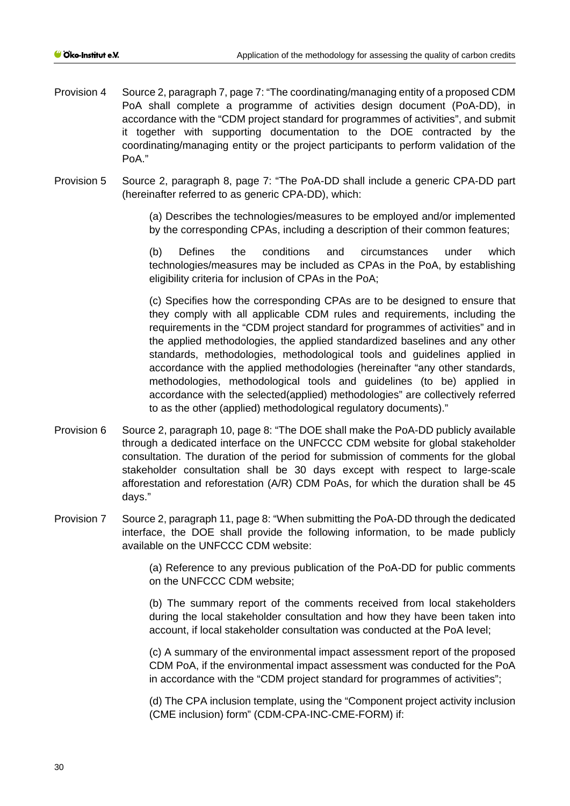- Provision 4 Source 2, paragraph 7, page 7: "The coordinating/managing entity of a proposed CDM PoA shall complete a programme of activities design document (PoA-DD), in accordance with the "CDM project standard for programmes of activities", and submit it together with supporting documentation to the DOE contracted by the coordinating/managing entity or the project participants to perform validation of the PoA."
- Provision 5 Source 2, paragraph 8, page 7: "The PoA-DD shall include a generic CPA-DD part (hereinafter referred to as generic CPA-DD), which:

(a) Describes the technologies/measures to be employed and/or implemented by the corresponding CPAs, including a description of their common features;

(b) Defines the conditions and circumstances under which technologies/measures may be included as CPAs in the PoA, by establishing eligibility criteria for inclusion of CPAs in the PoA;

(c) Specifies how the corresponding CPAs are to be designed to ensure that they comply with all applicable CDM rules and requirements, including the requirements in the "CDM project standard for programmes of activities" and in the applied methodologies, the applied standardized baselines and any other standards, methodologies, methodological tools and guidelines applied in accordance with the applied methodologies (hereinafter "any other standards, methodologies, methodological tools and guidelines (to be) applied in accordance with the selected(applied) methodologies" are collectively referred to as the other (applied) methodological regulatory documents)."

- Provision 6 Source 2, paragraph 10, page 8: "The DOE shall make the PoA-DD publicly available through a dedicated interface on the UNFCCC CDM website for global stakeholder consultation. The duration of the period for submission of comments for the global stakeholder consultation shall be 30 days except with respect to large-scale afforestation and reforestation (A/R) CDM PoAs, for which the duration shall be 45 days."
- Provision 7 Source 2, paragraph 11, page 8: "When submitting the PoA-DD through the dedicated interface, the DOE shall provide the following information, to be made publicly available on the UNFCCC CDM website:

(a) Reference to any previous publication of the PoA-DD for public comments on the UNFCCC CDM website;

(b) The summary report of the comments received from local stakeholders during the local stakeholder consultation and how they have been taken into account, if local stakeholder consultation was conducted at the PoA level;

(c) A summary of the environmental impact assessment report of the proposed CDM PoA, if the environmental impact assessment was conducted for the PoA in accordance with the "CDM project standard for programmes of activities";

(d) The CPA inclusion template, using the "Component project activity inclusion (CME inclusion) form" (CDM-CPA-INC-CME-FORM) if: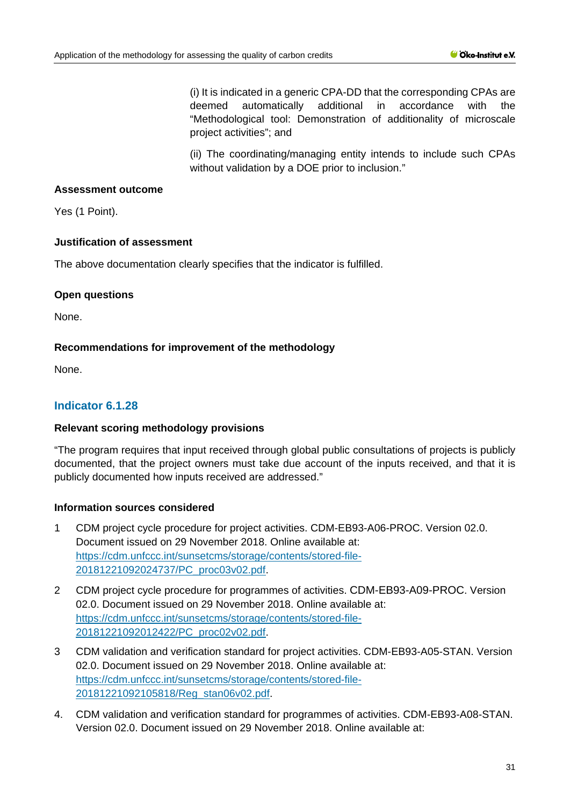(i) It is indicated in a generic CPA-DD that the corresponding CPAs are deemed automatically additional in accordance with the "Methodological tool: Demonstration of additionality of microscale project activities"; and

(ii) The coordinating/managing entity intends to include such CPAs without validation by a DOE prior to inclusion."

# **Assessment outcome**

Yes (1 Point).

# **Justification of assessment**

The above documentation clearly specifies that the indicator is fulfilled.

# **Open questions**

None.

# **Recommendations for improvement of the methodology**

None.

# **Indicator 6.1.28**

# **Relevant scoring methodology provisions**

"The program requires that input received through global public consultations of projects is publicly documented, that the project owners must take due account of the inputs received, and that it is publicly documented how inputs received are addressed."

# **Information sources considered**

- 1 CDM project cycle procedure for project activities. CDM-EB93-A06-PROC. Version 02.0. Document issued on 29 November 2018. Online available at: [https://cdm.unfccc.int/sunsetcms/storage/contents/stored-file-](https://cdm.unfccc.int/sunsetcms/storage/contents/stored-file-20181221092024737/PC_proc03v02.pdf)[20181221092024737/PC\\_proc03v02.pdf.](https://cdm.unfccc.int/sunsetcms/storage/contents/stored-file-20181221092024737/PC_proc03v02.pdf)
- 2 CDM project cycle procedure for programmes of activities. CDM-EB93-A09-PROC. Version 02.0. Document issued on 29 November 2018. Online available at: [https://cdm.unfccc.int/sunsetcms/storage/contents/stored-file-](https://cdm.unfccc.int/sunsetcms/storage/contents/stored-file-20181221092012422/PC_proc02v02.pdf)[20181221092012422/PC\\_proc02v02.pdf.](https://cdm.unfccc.int/sunsetcms/storage/contents/stored-file-20181221092012422/PC_proc02v02.pdf)
- 3 CDM validation and verification standard for project activities. CDM-EB93-A05-STAN. Version 02.0. Document issued on 29 November 2018. Online available at: [https://cdm.unfccc.int/sunsetcms/storage/contents/stored-file-](https://cdm.unfccc.int/sunsetcms/storage/contents/stored-file-20181221092105818/Reg_stan06v02.pdf)[20181221092105818/Reg\\_stan06v02.pdf.](https://cdm.unfccc.int/sunsetcms/storage/contents/stored-file-20181221092105818/Reg_stan06v02.pdf)
- 4. CDM validation and verification standard for programmes of activities. CDM-EB93-A08-STAN. Version 02.0. Document issued on 29 November 2018. Online available at: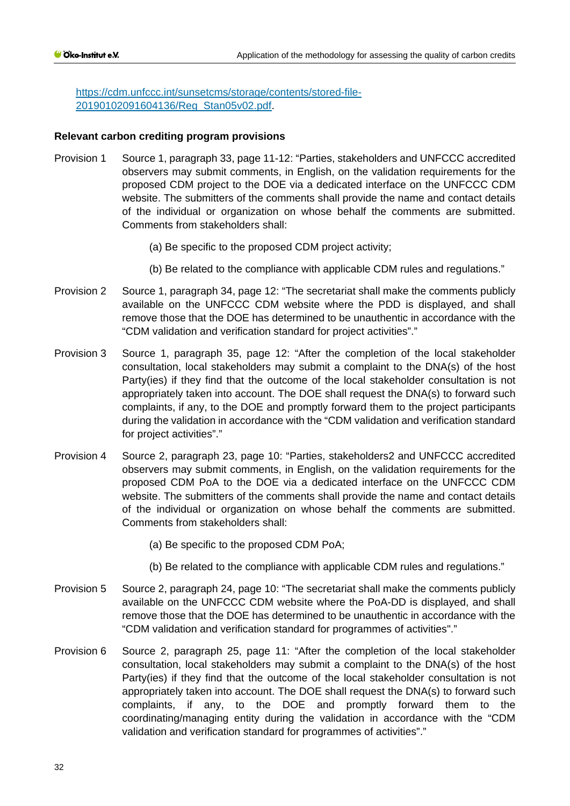[https://cdm.unfccc.int/sunsetcms/storage/contents/stored-file-](https://cdm.unfccc.int/sunsetcms/storage/contents/stored-file-20190102091604136/Reg_Stan05v02.pdf)[20190102091604136/Reg\\_Stan05v02.pdf.](https://cdm.unfccc.int/sunsetcms/storage/contents/stored-file-20190102091604136/Reg_Stan05v02.pdf)

### **Relevant carbon crediting program provisions**

- Provision 1 Source 1, paragraph 33, page 11-12: "Parties, stakeholders and UNFCCC accredited observers may submit comments, in English, on the validation requirements for the proposed CDM project to the DOE via a dedicated interface on the UNFCCC CDM website. The submitters of the comments shall provide the name and contact details of the individual or organization on whose behalf the comments are submitted. Comments from stakeholders shall:
	- (a) Be specific to the proposed CDM project activity;
	- (b) Be related to the compliance with applicable CDM rules and regulations."
- Provision 2 Source 1, paragraph 34, page 12: "The secretariat shall make the comments publicly available on the UNFCCC CDM website where the PDD is displayed, and shall remove those that the DOE has determined to be unauthentic in accordance with the "CDM validation and verification standard for project activities"."
- Provision 3 Source 1, paragraph 35, page 12: "After the completion of the local stakeholder consultation, local stakeholders may submit a complaint to the DNA(s) of the host Party(ies) if they find that the outcome of the local stakeholder consultation is not appropriately taken into account. The DOE shall request the DNA(s) to forward such complaints, if any, to the DOE and promptly forward them to the project participants during the validation in accordance with the "CDM validation and verification standard for project activities"."
- Provision 4 Source 2, paragraph 23, page 10: "Parties, stakeholders2 and UNFCCC accredited observers may submit comments, in English, on the validation requirements for the proposed CDM PoA to the DOE via a dedicated interface on the UNFCCC CDM website. The submitters of the comments shall provide the name and contact details of the individual or organization on whose behalf the comments are submitted. Comments from stakeholders shall:
	- (a) Be specific to the proposed CDM PoA;
	- (b) Be related to the compliance with applicable CDM rules and regulations."
- Provision 5 Source 2, paragraph 24, page 10: "The secretariat shall make the comments publicly available on the UNFCCC CDM website where the PoA-DD is displayed, and shall remove those that the DOE has determined to be unauthentic in accordance with the "CDM validation and verification standard for programmes of activities"."
- Provision 6 Source 2, paragraph 25, page 11: "After the completion of the local stakeholder consultation, local stakeholders may submit a complaint to the DNA(s) of the host Party(ies) if they find that the outcome of the local stakeholder consultation is not appropriately taken into account. The DOE shall request the DNA(s) to forward such complaints, if any, to the DOE and promptly forward them to the coordinating/managing entity during the validation in accordance with the "CDM validation and verification standard for programmes of activities"."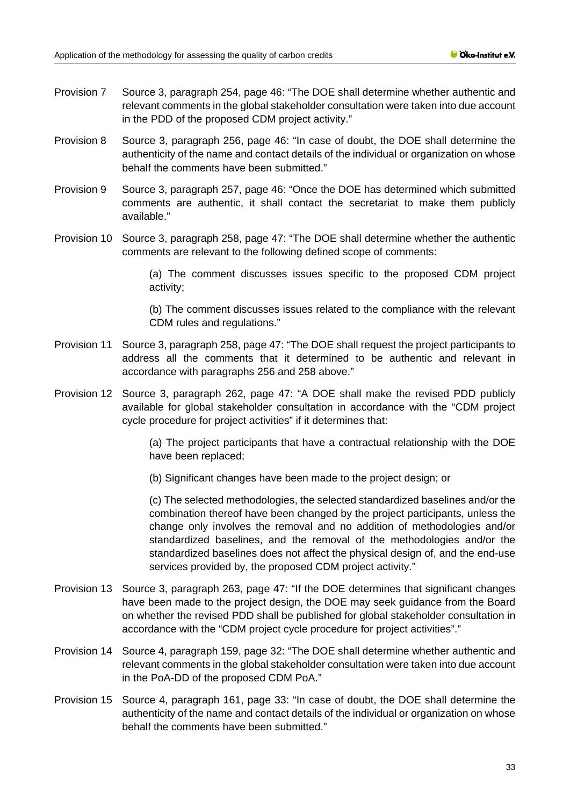- Provision 7 Source 3, paragraph 254, page 46: "The DOE shall determine whether authentic and relevant comments in the global stakeholder consultation were taken into due account in the PDD of the proposed CDM project activity."
- Provision 8 Source 3, paragraph 256, page 46: "In case of doubt, the DOE shall determine the authenticity of the name and contact details of the individual or organization on whose behalf the comments have been submitted."
- Provision 9 Source 3, paragraph 257, page 46: "Once the DOE has determined which submitted comments are authentic, it shall contact the secretariat to make them publicly available."
- Provision 10 Source 3, paragraph 258, page 47: "The DOE shall determine whether the authentic comments are relevant to the following defined scope of comments:

(a) The comment discusses issues specific to the proposed CDM project activity;

(b) The comment discusses issues related to the compliance with the relevant CDM rules and regulations."

- Provision 11 Source 3, paragraph 258, page 47: "The DOE shall request the project participants to address all the comments that it determined to be authentic and relevant in accordance with paragraphs 256 and 258 above."
- Provision 12 Source 3, paragraph 262, page 47: "A DOE shall make the revised PDD publicly available for global stakeholder consultation in accordance with the "CDM project cycle procedure for project activities" if it determines that:

(a) The project participants that have a contractual relationship with the DOE have been replaced;

(b) Significant changes have been made to the project design; or

(c) The selected methodologies, the selected standardized baselines and/or the combination thereof have been changed by the project participants, unless the change only involves the removal and no addition of methodologies and/or standardized baselines, and the removal of the methodologies and/or the standardized baselines does not affect the physical design of, and the end-use services provided by, the proposed CDM project activity."

- Provision 13 Source 3, paragraph 263, page 47: "If the DOE determines that significant changes have been made to the project design, the DOE may seek guidance from the Board on whether the revised PDD shall be published for global stakeholder consultation in accordance with the "CDM project cycle procedure for project activities"."
- Provision 14 Source 4, paragraph 159, page 32: "The DOE shall determine whether authentic and relevant comments in the global stakeholder consultation were taken into due account in the PoA-DD of the proposed CDM PoA."
- Provision 15 Source 4, paragraph 161, page 33: "In case of doubt, the DOE shall determine the authenticity of the name and contact details of the individual or organization on whose behalf the comments have been submitted."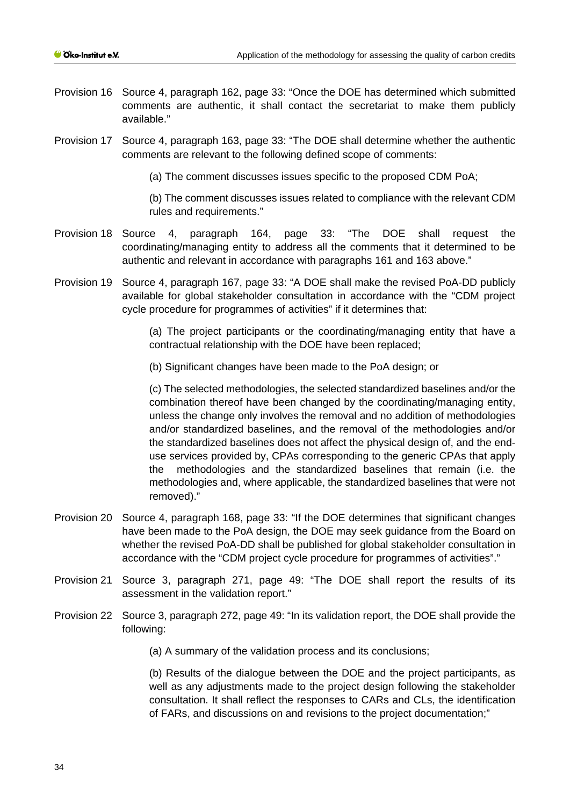- Provision 16 Source 4, paragraph 162, page 33: "Once the DOE has determined which submitted comments are authentic, it shall contact the secretariat to make them publicly available."
- Provision 17 Source 4, paragraph 163, page 33: "The DOE shall determine whether the authentic comments are relevant to the following defined scope of comments:

(a) The comment discusses issues specific to the proposed CDM PoA;

(b) The comment discusses issues related to compliance with the relevant CDM rules and requirements."

- Provision 18 Source 4, paragraph 164, page 33: "The DOE shall request the coordinating/managing entity to address all the comments that it determined to be authentic and relevant in accordance with paragraphs 161 and 163 above."
- Provision 19 Source 4, paragraph 167, page 33: "A DOE shall make the revised PoA-DD publicly available for global stakeholder consultation in accordance with the "CDM project cycle procedure for programmes of activities" if it determines that:

(a) The project participants or the coordinating/managing entity that have a contractual relationship with the DOE have been replaced;

(b) Significant changes have been made to the PoA design; or

(c) The selected methodologies, the selected standardized baselines and/or the combination thereof have been changed by the coordinating/managing entity, unless the change only involves the removal and no addition of methodologies and/or standardized baselines, and the removal of the methodologies and/or the standardized baselines does not affect the physical design of, and the enduse services provided by, CPAs corresponding to the generic CPAs that apply the methodologies and the standardized baselines that remain (i.e. the methodologies and, where applicable, the standardized baselines that were not removed)."

- Provision 20 Source 4, paragraph 168, page 33: "If the DOE determines that significant changes have been made to the PoA design, the DOE may seek guidance from the Board on whether the revised PoA-DD shall be published for global stakeholder consultation in accordance with the "CDM project cycle procedure for programmes of activities"."
- Provision 21 Source 3, paragraph 271, page 49: "The DOE shall report the results of its assessment in the validation report."
- Provision 22 Source 3, paragraph 272, page 49: "In its validation report, the DOE shall provide the following:

(a) A summary of the validation process and its conclusions;

(b) Results of the dialogue between the DOE and the project participants, as well as any adjustments made to the project design following the stakeholder consultation. It shall reflect the responses to CARs and CLs, the identification of FARs, and discussions on and revisions to the project documentation;"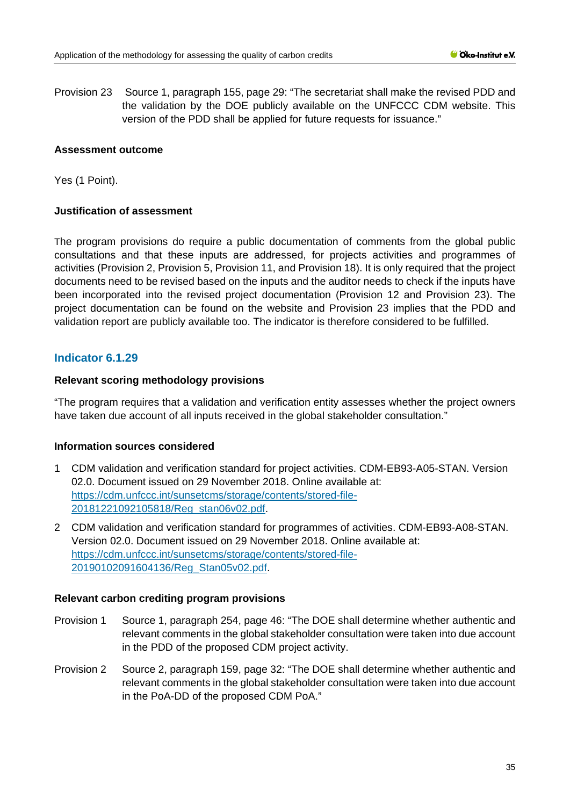Provision 23 Source 1, paragraph 155, page 29: "The secretariat shall make the revised PDD and the validation by the DOE publicly available on the UNFCCC CDM website. This version of the PDD shall be applied for future requests for issuance."

### **Assessment outcome**

Yes (1 Point).

### **Justification of assessment**

The program provisions do require a public documentation of comments from the global public consultations and that these inputs are addressed, for projects activities and programmes of activities (Provision 2, Provision 5, Provision 11, and Provision 18). It is only required that the project documents need to be revised based on the inputs and the auditor needs to check if the inputs have been incorporated into the revised project documentation (Provision 12 and Provision 23). The project documentation can be found on the website and Provision 23 implies that the PDD and validation report are publicly available too. The indicator is therefore considered to be fulfilled.

# **Indicator 6.1.29**

### **Relevant scoring methodology provisions**

"The program requires that a validation and verification entity assesses whether the project owners have taken due account of all inputs received in the global stakeholder consultation."

### **Information sources considered**

- 1 CDM validation and verification standard for project activities. CDM-EB93-A05-STAN. Version 02.0. Document issued on 29 November 2018. Online available at: [https://cdm.unfccc.int/sunsetcms/storage/contents/stored-file-](https://cdm.unfccc.int/sunsetcms/storage/contents/stored-file-20181221092105818/Reg_stan06v02.pdf)[20181221092105818/Reg\\_stan06v02.pdf.](https://cdm.unfccc.int/sunsetcms/storage/contents/stored-file-20181221092105818/Reg_stan06v02.pdf)
- 2 CDM validation and verification standard for programmes of activities. CDM-EB93-A08-STAN. Version 02.0. Document issued on 29 November 2018. Online available at: [https://cdm.unfccc.int/sunsetcms/storage/contents/stored-file-](https://cdm.unfccc.int/sunsetcms/storage/contents/stored-file-20190102091604136/Reg_Stan05v02.pdf)[20190102091604136/Reg\\_Stan05v02.pdf.](https://cdm.unfccc.int/sunsetcms/storage/contents/stored-file-20190102091604136/Reg_Stan05v02.pdf)

### **Relevant carbon crediting program provisions**

- Provision 1 Source 1, paragraph 254, page 46: "The DOE shall determine whether authentic and relevant comments in the global stakeholder consultation were taken into due account in the PDD of the proposed CDM project activity.
- Provision 2 Source 2, paragraph 159, page 32: "The DOE shall determine whether authentic and relevant comments in the global stakeholder consultation were taken into due account in the PoA-DD of the proposed CDM PoA."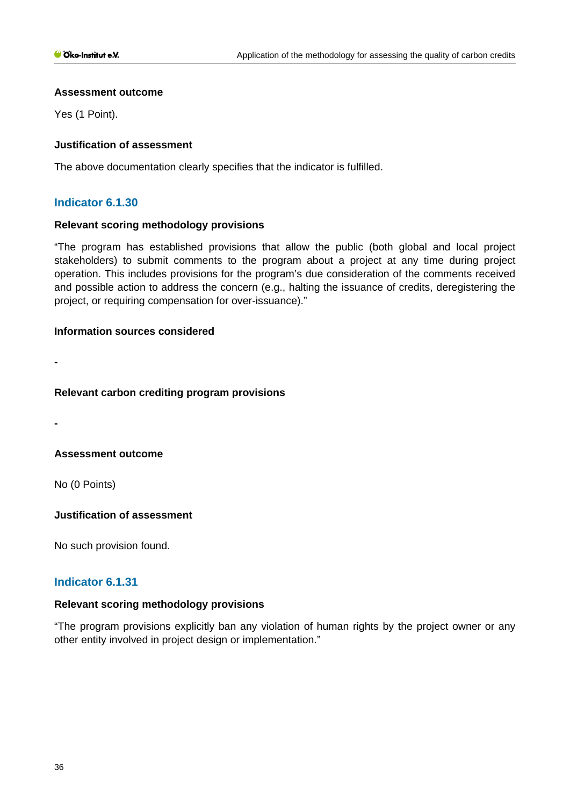### **Assessment outcome**

Yes (1 Point).

# **Justification of assessment**

The above documentation clearly specifies that the indicator is fulfilled.

# **Indicator 6.1.30**

### **Relevant scoring methodology provisions**

"The program has established provisions that allow the public (both global and local project stakeholders) to submit comments to the program about a project at any time during project operation. This includes provisions for the program's due consideration of the comments received and possible action to address the concern (e.g., halting the issuance of credits, deregistering the project, or requiring compensation for over-issuance)."

### **Information sources considered**

**-**

# **Relevant carbon crediting program provisions**

**-**

# **Assessment outcome**

No (0 Points)

# **Justification of assessment**

No such provision found.

# **Indicator 6.1.31**

# **Relevant scoring methodology provisions**

"The program provisions explicitly ban any violation of human rights by the project owner or any other entity involved in project design or implementation."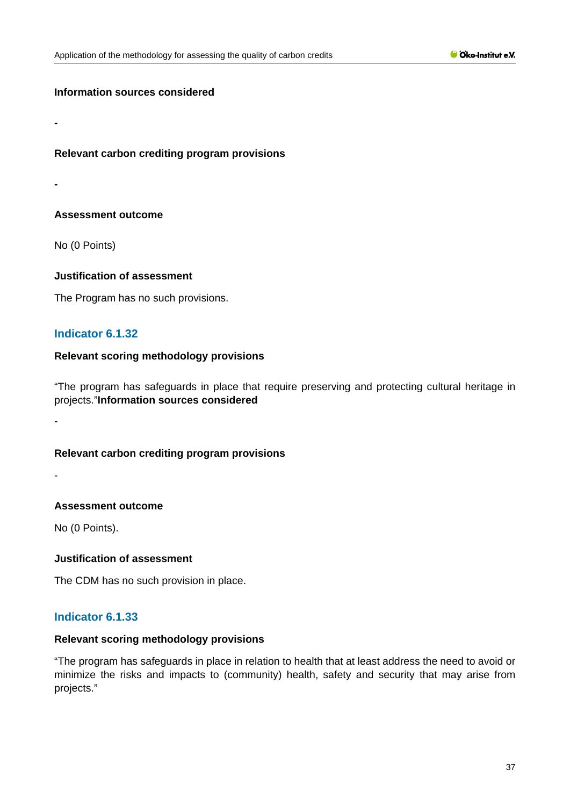**Relevant carbon crediting program provisions**

**-**

**-**

# **Assessment outcome**

No (0 Points)

# **Justification of assessment**

The Program has no such provisions.

# **Indicator 6.1.32**

### **Relevant scoring methodology provisions**

"The program has safeguards in place that require preserving and protecting cultural heritage in projects."**Information sources considered**

-

# **Relevant carbon crediting program provisions**

-

# **Assessment outcome**

No (0 Points).

# **Justification of assessment**

The CDM has no such provision in place.

# **Indicator 6.1.33**

# **Relevant scoring methodology provisions**

"The program has safeguards in place in relation to health that at least address the need to avoid or minimize the risks and impacts to (community) health, safety and security that may arise from projects."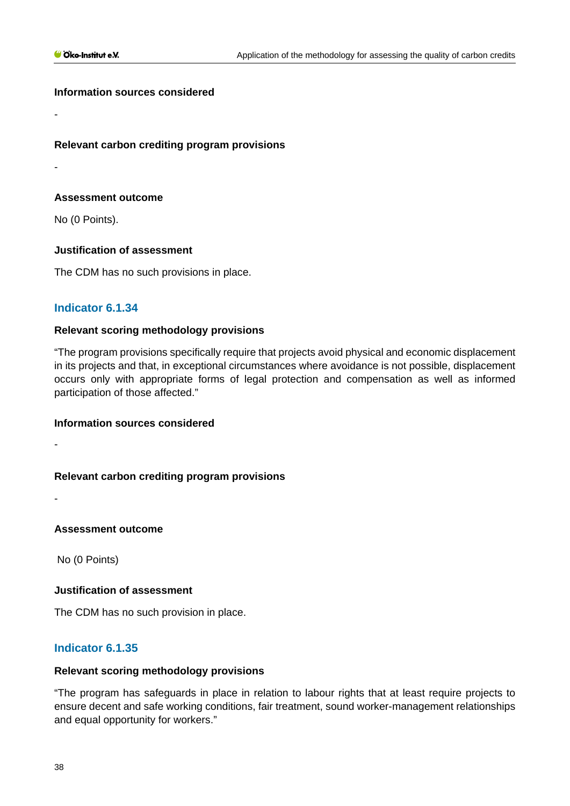### **Relevant carbon crediting program provisions**

-

-

# **Assessment outcome**

No (0 Points).

# **Justification of assessment**

The CDM has no such provisions in place.

# **Indicator 6.1.34**

### **Relevant scoring methodology provisions**

"The program provisions specifically require that projects avoid physical and economic displacement in its projects and that, in exceptional circumstances where avoidance is not possible, displacement occurs only with appropriate forms of legal protection and compensation as well as informed participation of those affected."

### **Information sources considered**

-

# **Relevant carbon crediting program provisions**

-

# **Assessment outcome**

No (0 Points)

# **Justification of assessment**

The CDM has no such provision in place.

# **Indicator 6.1.35**

# **Relevant scoring methodology provisions**

"The program has safeguards in place in relation to labour rights that at least require projects to ensure decent and safe working conditions, fair treatment, sound worker-management relationships and equal opportunity for workers."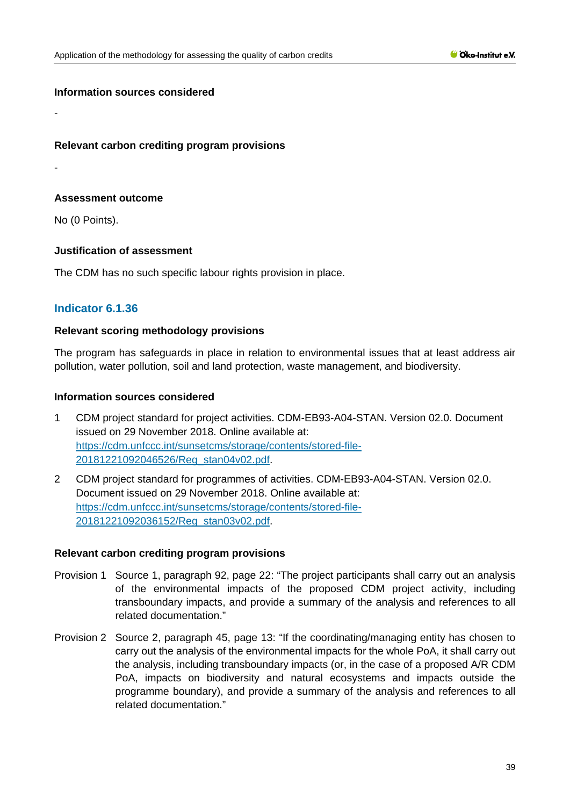### **Relevant carbon crediting program provisions**

-

-

### **Assessment outcome**

No (0 Points).

### **Justification of assessment**

The CDM has no such specific labour rights provision in place.

# **Indicator 6.1.36**

### **Relevant scoring methodology provisions**

The program has safeguards in place in relation to environmental issues that at least address air pollution, water pollution, soil and land protection, waste management, and biodiversity.

# **Information sources considered**

- 1 CDM project standard for project activities. CDM-EB93-A04-STAN. Version 02.0. Document issued on 29 November 2018. Online available at: [https://cdm.unfccc.int/sunsetcms/storage/contents/stored-file-](https://cdm.unfccc.int/sunsetcms/storage/contents/stored-file-20181221092046526/Reg_stan04v02.pdf)[20181221092046526/Reg\\_stan04v02.pdf.](https://cdm.unfccc.int/sunsetcms/storage/contents/stored-file-20181221092046526/Reg_stan04v02.pdf)
- 2 CDM project standard for programmes of activities. CDM-EB93-A04-STAN. Version 02.0. Document issued on 29 November 2018. Online available at: [https://cdm.unfccc.int/sunsetcms/storage/contents/stored-file-](https://cdm.unfccc.int/sunsetcms/storage/contents/stored-file-20181221092036152/Reg_stan03v02.pdf)[20181221092036152/Reg\\_stan03v02.pdf.](https://cdm.unfccc.int/sunsetcms/storage/contents/stored-file-20181221092036152/Reg_stan03v02.pdf)

### **Relevant carbon crediting program provisions**

- Provision 1 Source 1, paragraph 92, page 22: "The project participants shall carry out an analysis of the environmental impacts of the proposed CDM project activity, including transboundary impacts, and provide a summary of the analysis and references to all related documentation."
- Provision 2 Source 2, paragraph 45, page 13: "If the coordinating/managing entity has chosen to carry out the analysis of the environmental impacts for the whole PoA, it shall carry out the analysis, including transboundary impacts (or, in the case of a proposed A/R CDM PoA, impacts on biodiversity and natural ecosystems and impacts outside the programme boundary), and provide a summary of the analysis and references to all related documentation."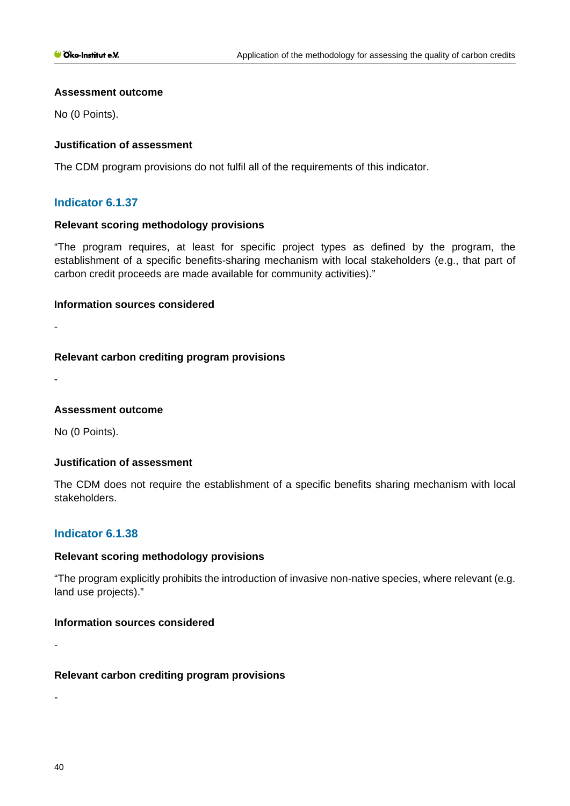### **Assessment outcome**

No (0 Points).

# **Justification of assessment**

The CDM program provisions do not fulfil all of the requirements of this indicator.

# **Indicator 6.1.37**

### **Relevant scoring methodology provisions**

"The program requires, at least for specific project types as defined by the program, the establishment of a specific benefits-sharing mechanism with local stakeholders (e.g., that part of carbon credit proceeds are made available for community activities)."

### **Information sources considered**

-

-

# **Relevant carbon crediting program provisions**

**Assessment outcome**

No (0 Points).

# **Justification of assessment**

The CDM does not require the establishment of a specific benefits sharing mechanism with local stakeholders.

# **Indicator 6.1.38**

# **Relevant scoring methodology provisions**

"The program explicitly prohibits the introduction of invasive non-native species, where relevant (e.g. land use projects)."

# **Information sources considered**

**Relevant carbon crediting program provisions**

-

-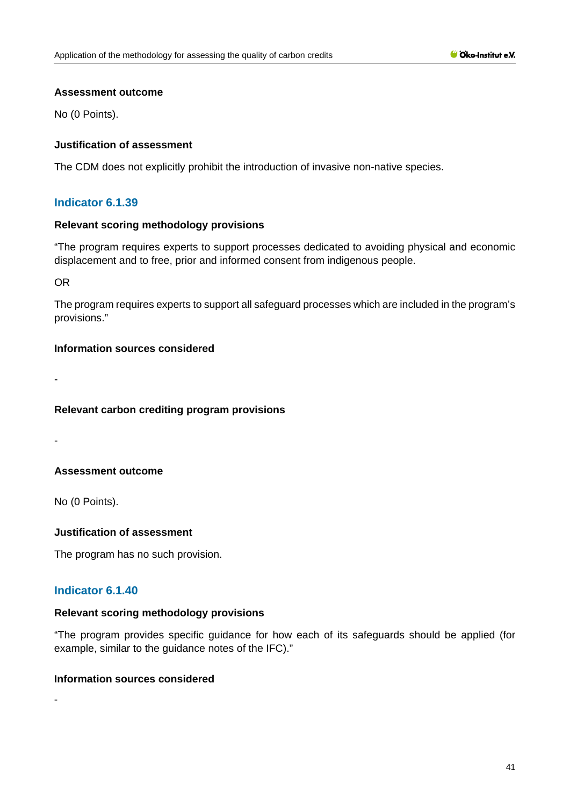### **Assessment outcome**

No (0 Points).

# **Justification of assessment**

The CDM does not explicitly prohibit the introduction of invasive non-native species.

# **Indicator 6.1.39**

### **Relevant scoring methodology provisions**

"The program requires experts to support processes dedicated to avoiding physical and economic displacement and to free, prior and informed consent from indigenous people.

OR

The program requires experts to support all safeguard processes which are included in the program's provisions."

# **Information sources considered**

**Relevant carbon crediting program provisions**

-

-

-

# **Assessment outcome**

No (0 Points).

# **Justification of assessment**

The program has no such provision.

# **Indicator 6.1.40**

### **Relevant scoring methodology provisions**

"The program provides specific guidance for how each of its safeguards should be applied (for example, similar to the guidance notes of the IFC)."

### **Information sources considered**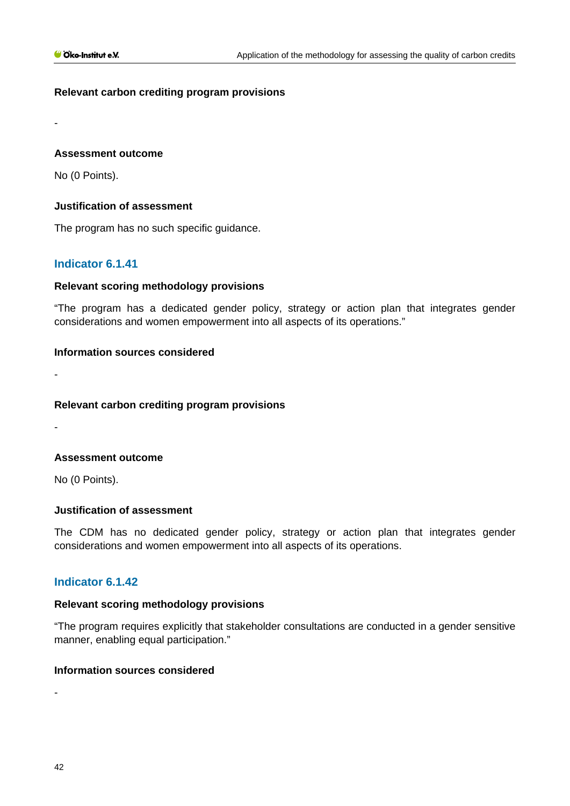# **Relevant carbon crediting program provisions**

**Assessment outcome**

No (0 Points).

-

-

-

### **Justification of assessment**

The program has no such specific guidance.

# **Indicator 6.1.41**

### **Relevant scoring methodology provisions**

"The program has a dedicated gender policy, strategy or action plan that integrates gender considerations and women empowerment into all aspects of its operations."

### **Information sources considered**

**Relevant carbon crediting program provisions**

**Assessment outcome**

No (0 Points).

### **Justification of assessment**

The CDM has no dedicated gender policy, strategy or action plan that integrates gender considerations and women empowerment into all aspects of its operations.

# **Indicator 6.1.42**

### **Relevant scoring methodology provisions**

"The program requires explicitly that stakeholder consultations are conducted in a gender sensitive manner, enabling equal participation."

# **Information sources considered**

-